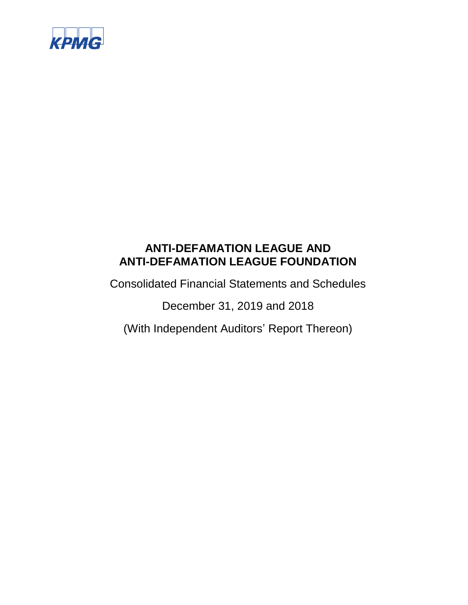

Consolidated Financial Statements and Schedules

December 31, 2019 and 2018

(With Independent Auditors' Report Thereon)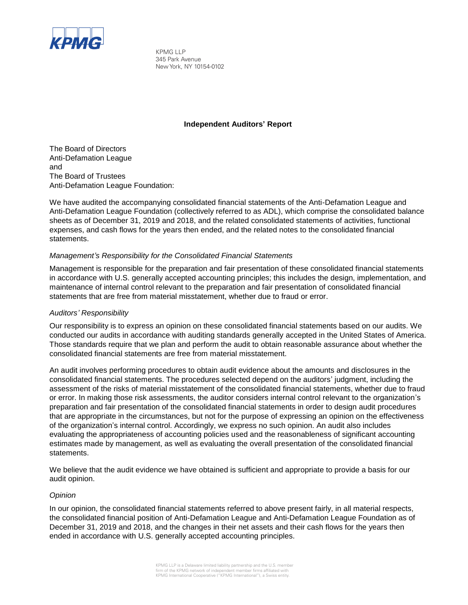

KPMG LLP 345 Park Avenue New York, NY 10154-0102

### **Independent Auditors' Report**

The Board of Directors Anti-Defamation League and The Board of Trustees Anti-Defamation League Foundation:

We have audited the accompanying consolidated financial statements of the Anti-Defamation League and Anti-Defamation League Foundation (collectively referred to as ADL), which comprise the consolidated balance sheets as of December 31, 2019 and 2018, and the related consolidated statements of activities, functional expenses, and cash flows for the years then ended, and the related notes to the consolidated financial statements.

### *Management's Responsibility for the Consolidated Financial Statements*

Management is responsible for the preparation and fair presentation of these consolidated financial statements in accordance with U.S. generally accepted accounting principles; this includes the design, implementation, and maintenance of internal control relevant to the preparation and fair presentation of consolidated financial statements that are free from material misstatement, whether due to fraud or error.

### *Auditors' Responsibility*

Our responsibility is to express an opinion on these consolidated financial statements based on our audits. We conducted our audits in accordance with auditing standards generally accepted in the United States of America. Those standards require that we plan and perform the audit to obtain reasonable assurance about whether the consolidated financial statements are free from material misstatement.

An audit involves performing procedures to obtain audit evidence about the amounts and disclosures in the consolidated financial statements. The procedures selected depend on the auditors' judgment, including the assessment of the risks of material misstatement of the consolidated financial statements, whether due to fraud or error. In making those risk assessments, the auditor considers internal control relevant to the organization's preparation and fair presentation of the consolidated financial statements in order to design audit procedures that are appropriate in the circumstances, but not for the purpose of expressing an opinion on the effectiveness of the organization's internal control. Accordingly, we express no such opinion. An audit also includes evaluating the appropriateness of accounting policies used and the reasonableness of significant accounting estimates made by management, as well as evaluating the overall presentation of the consolidated financial statements.

We believe that the audit evidence we have obtained is sufficient and appropriate to provide a basis for our audit opinion.

### *Opinion*

In our opinion, the consolidated financial statements referred to above present fairly, in all material respects, the consolidated financial position of Anti-Defamation League and Anti-Defamation League Foundation as of December 31, 2019 and 2018, and the changes in their net assets and their cash flows for the years then ended in accordance with U.S. generally accepted accounting principles.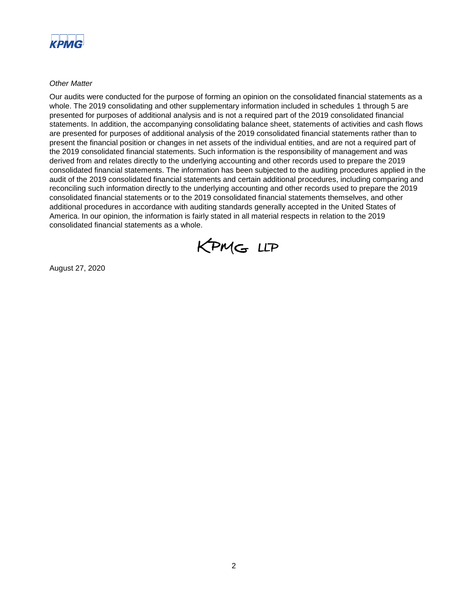

### *Other Matter*

Our audits were conducted for the purpose of forming an opinion on the consolidated financial statements as a whole. The 2019 consolidating and other supplementary information included in schedules 1 through 5 are presented for purposes of additional analysis and is not a required part of the 2019 consolidated financial statements. In addition, the accompanying consolidating balance sheet, statements of activities and cash flows are presented for purposes of additional analysis of the 2019 consolidated financial statements rather than to present the financial position or changes in net assets of the individual entities, and are not a required part of the 2019 consolidated financial statements. Such information is the responsibility of management and was derived from and relates directly to the underlying accounting and other records used to prepare the 2019 consolidated financial statements. The information has been subjected to the auditing procedures applied in the audit of the 2019 consolidated financial statements and certain additional procedures, including comparing and reconciling such information directly to the underlying accounting and other records used to prepare the 2019 consolidated financial statements or to the 2019 consolidated financial statements themselves, and other additional procedures in accordance with auditing standards generally accepted in the United States of America. In our opinion, the information is fairly stated in all material respects in relation to the 2019 consolidated financial statements as a whole.



August 27, 2020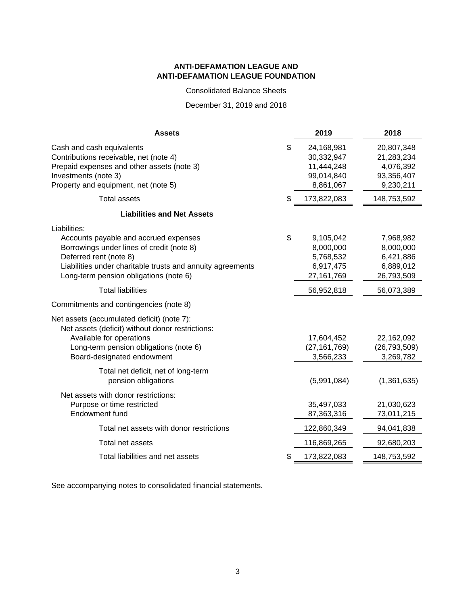Consolidated Balance Sheets

December 31, 2019 and 2018

| <b>Assets</b>                                                                                                                                                                                                                        | 2019                                                                    | 2018                                                             |
|--------------------------------------------------------------------------------------------------------------------------------------------------------------------------------------------------------------------------------------|-------------------------------------------------------------------------|------------------------------------------------------------------|
| Cash and cash equivalents<br>Contributions receivable, net (note 4)<br>Prepaid expenses and other assets (note 3)<br>Investments (note 3)<br>Property and equipment, net (note 5)                                                    | \$<br>24,168,981<br>30,332,947<br>11,444,248<br>99,014,840<br>8,861,067 | 20,807,348<br>21,283,234<br>4,076,392<br>93,356,407<br>9,230,211 |
| <b>Total assets</b>                                                                                                                                                                                                                  | \$<br>173,822,083                                                       | 148,753,592                                                      |
| <b>Liabilities and Net Assets</b>                                                                                                                                                                                                    |                                                                         |                                                                  |
| Liabilities:<br>Accounts payable and accrued expenses<br>Borrowings under lines of credit (note 8)<br>Deferred rent (note 8)<br>Liabilities under charitable trusts and annuity agreements<br>Long-term pension obligations (note 6) | \$<br>9,105,042<br>8,000,000<br>5,768,532<br>6,917,475<br>27,161,769    | 7,968,982<br>8,000,000<br>6,421,886<br>6,889,012<br>26,793,509   |
| <b>Total liabilities</b>                                                                                                                                                                                                             | 56,952,818                                                              | 56,073,389                                                       |
| Commitments and contingencies (note 8)                                                                                                                                                                                               |                                                                         |                                                                  |
| Net assets (accumulated deficit) (note 7):<br>Net assets (deficit) without donor restrictions:<br>Available for operations<br>Long-term pension obligations (note 6)<br>Board-designated endowment                                   | 17,604,452<br>(27, 161, 769)<br>3,566,233                               | 22,162,092<br>(26, 793, 509)<br>3,269,782                        |
| Total net deficit, net of long-term<br>pension obligations                                                                                                                                                                           | (5,991,084)                                                             | (1,361,635)                                                      |
| Net assets with donor restrictions:<br>Purpose or time restricted<br>Endowment fund                                                                                                                                                  | 35,497,033<br>87,363,316                                                | 21,030,623<br>73,011,215                                         |
| Total net assets with donor restrictions                                                                                                                                                                                             | 122,860,349                                                             | 94,041,838                                                       |
| Total net assets                                                                                                                                                                                                                     | 116,869,265                                                             | 92,680,203                                                       |
| Total liabilities and net assets                                                                                                                                                                                                     | \$<br>173,822,083                                                       | 148,753,592                                                      |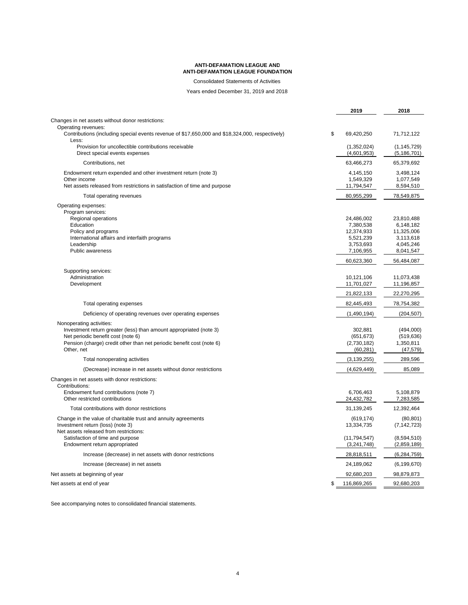Consolidated Statements of Activities

Years ended December 31, 2019 and 2018

|                                                                                                                                                                                                                             | 2019                                                                         | 2018                                                                         |
|-----------------------------------------------------------------------------------------------------------------------------------------------------------------------------------------------------------------------------|------------------------------------------------------------------------------|------------------------------------------------------------------------------|
| Changes in net assets without donor restrictions:                                                                                                                                                                           |                                                                              |                                                                              |
| Operating revenues:<br>Contributions (including special events revenue of \$17,650,000 and \$18,324,000, respectively)<br>Less:                                                                                             | \$<br>69,420,250                                                             | 71,712,122                                                                   |
| Provision for uncollectible contributions receivable<br>Direct special events expenses                                                                                                                                      | (1,352,024)<br>(4,601,953)                                                   | (1, 145, 729)<br>(5, 186, 701)                                               |
| Contributions, net                                                                                                                                                                                                          | 63,466,273                                                                   | 65,379,692                                                                   |
| Endowment return expended and other investment return (note 3)<br>Other income<br>Net assets released from restrictions in satisfaction of time and purpose                                                                 | 4,145,150<br>1,549,329<br>11,794,547                                         | 3,498,124<br>1,077,549<br>8,594,510                                          |
| Total operating revenues                                                                                                                                                                                                    | 80,955,299                                                                   | 78,549,875                                                                   |
| Operating expenses:                                                                                                                                                                                                         |                                                                              |                                                                              |
| Program services:<br>Regional operations<br>Education<br>Policy and programs<br>International affairs and interfaith programs<br>Leadership<br><b>Public awareness</b>                                                      | 24,486,002<br>7,380,538<br>12,374,933<br>5,521,239<br>3,753,693<br>7,106,955 | 23,810,488<br>6,148,182<br>11,325,006<br>3,113,618<br>4,045,246<br>8,041,547 |
|                                                                                                                                                                                                                             | 60,623,360                                                                   | 56,484,087                                                                   |
|                                                                                                                                                                                                                             |                                                                              |                                                                              |
| Supporting services:<br>Administration<br>Development                                                                                                                                                                       | 10,121,106<br>11,701,027                                                     | 11,073,438<br>11,196,857                                                     |
|                                                                                                                                                                                                                             | 21,822,133                                                                   | 22,270,295                                                                   |
| Total operating expenses                                                                                                                                                                                                    | 82,445,493                                                                   | 78,754,382                                                                   |
| Deficiency of operating revenues over operating expenses                                                                                                                                                                    | (1,490,194)                                                                  | (204, 507)                                                                   |
| Nonoperating activities:<br>Investment return greater (less) than amount appropriated (note 3)<br>Net periodic benefit cost (note 6)<br>Pension (charge) credit other than net periodic benefit cost (note 6)<br>Other, net | 302,881<br>(651, 673)<br>(2,730,182)<br>(60, 281)                            | (494,000)<br>(519, 636)<br>1,350,811<br>(47, 579)                            |
| Total nonoperating activities                                                                                                                                                                                               | (3, 139, 255)                                                                | 289,596                                                                      |
| (Decrease) increase in net assets without donor restrictions                                                                                                                                                                | (4,629,449)                                                                  | 85,089                                                                       |
| Changes in net assets with donor restrictions:<br>Contributions:<br>Endowment fund contributions (note 7)                                                                                                                   | 6,706,463                                                                    | 5,108,879                                                                    |
| Other restricted contributions                                                                                                                                                                                              | 24,432,782                                                                   | 7,283,585                                                                    |
| Total contributions with donor restrictions                                                                                                                                                                                 | 31,139,245                                                                   | 12,392,464                                                                   |
| Change in the value of charitable trust and annuity agreements<br>Investment return (loss) (note 3)<br>Net assets released from restrictions:                                                                               | (619, 174)<br>13,334,735                                                     | (80, 801)<br>(7, 142, 723)                                                   |
| Satisfaction of time and purpose<br>Endowment return appropriated                                                                                                                                                           | (11, 794, 547)<br>(3,241,748)                                                | (8,594,510)<br>(2,859,189)                                                   |
| Increase (decrease) in net assets with donor restrictions                                                                                                                                                                   | 28,818,511                                                                   | (6, 284, 759)                                                                |
| Increase (decrease) in net assets                                                                                                                                                                                           | 24,189,062                                                                   | (6, 199, 670)                                                                |
| Net assets at beginning of year                                                                                                                                                                                             | 92,680,203                                                                   | 98,879,873                                                                   |
| Net assets at end of year                                                                                                                                                                                                   | \$<br>116,869,265                                                            | 92,680,203                                                                   |
|                                                                                                                                                                                                                             |                                                                              |                                                                              |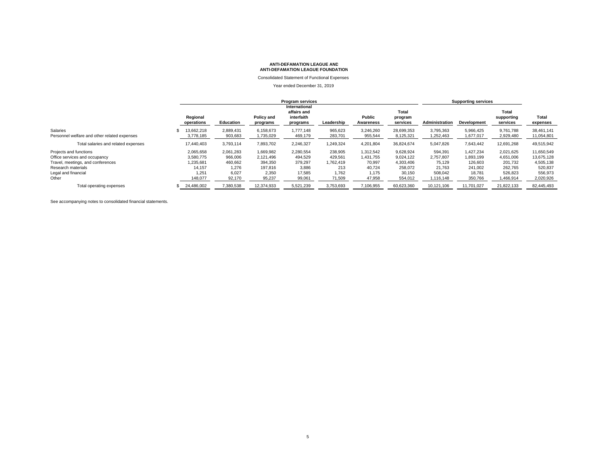#### Consolidated Statement of Functional Expenses

Year ended December 31, 2019

|                                                                                                                    | <b>Program services</b>                       |                                          |                                              |                                                        |                                        | <b>Supporting services</b>                 |                                                |                                          |                                              |                                              |                                                  |
|--------------------------------------------------------------------------------------------------------------------|-----------------------------------------------|------------------------------------------|----------------------------------------------|--------------------------------------------------------|----------------------------------------|--------------------------------------------|------------------------------------------------|------------------------------------------|----------------------------------------------|----------------------------------------------|--------------------------------------------------|
|                                                                                                                    | Regional<br>operations                        | Education                                | Policy and<br>programs                       | International<br>affairs and<br>interfaith<br>programs | Leadership                             | Public<br>Awareness                        | <b>Total</b><br>program<br>services            | Administration                           | Development                                  | Total<br>supporting<br>services              | <b>Total</b><br>expenses                         |
| Salaries<br>Personnel welfare and other related expenses                                                           | 3,662,218<br>3,778,185                        | 2.889.431<br>903,683                     | 6,158,673<br>1,735,029                       | 1.777.148<br>469,179                                   | 965.623<br>283,701                     | 3.246.260<br>955,544                       | 28.699.353<br>8,125,321                        | 3.795.363<br>1,252,463                   | 5.966.425<br>1,677,017                       | 9.761.788<br>2,929,480                       | 38.461.141<br>11,054,801                         |
| Total salaries and related expenses                                                                                | 17,440,403                                    | 3,793,114                                | 7,893,702                                    | 2,246,327                                              | 1,249,324                              | 4,201,804                                  | 36,824,674                                     | 5,047,826                                | 7,643,442                                    | 12,691,268                                   | 49,515,942                                       |
| Projects and functions<br>Office services and occupancy<br>Travel, meetings, and conferences<br>Research materials | 2,065,658<br>3.580.775<br>1,235,681<br>14,157 | 2,061,283<br>966,006<br>460,662<br>1.276 | 1,669,982<br>2.121.496<br>394,350<br>197,816 | 2,280,554<br>494.529<br>379,297<br>3,886               | 238,905<br>429.561<br>1,762,419<br>213 | 1.312.542<br>1.431.755<br>70,997<br>40.724 | 9.628.924<br>9.024.122<br>4,303,406<br>258,072 | 594,391<br>2,757,807<br>75,129<br>21,763 | 1.427.234<br>1.893.199<br>126,603<br>241,002 | 2,021,625<br>4.651.006<br>201.732<br>262,765 | 11,650,549<br>13,675,128<br>4,505,138<br>520,837 |
| Legal and financial<br>Other                                                                                       | 1,251<br>148,077                              | 6,027<br>92,170                          | 2,350<br>95,237                              | 17,585<br>99,061                                       | 1.762<br>71,509                        | 1,175<br>47,958                            | 30,150<br>554,012                              | 508,042<br>1,116,148                     | 18,781<br>350,766                            | 526,823<br>1,466,914                         | 556,973<br>2,020,926                             |
| Total operating expenses                                                                                           | 24,486,002                                    | 7,380,538                                | 12,374,933                                   | 5,521,239                                              | 3,753,693                              | 7,106,955                                  | 60,623,360                                     | 10,121,106                               | 11,701,027                                   | 21,822,133                                   | 82,445,493                                       |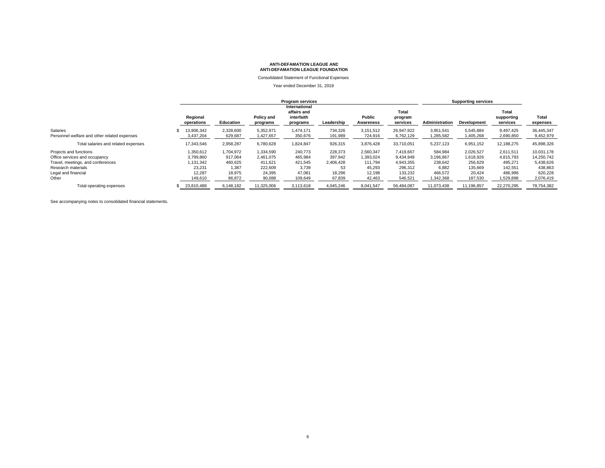#### Consolidated Statement of Functional Expenses

Year ended December 31, 2018

|                                                                                              |                                     | <b>Program services</b>         |                                   |                                                        |                                 |                                   | <b>Supporting services</b>          |                                 |                                   |                                   |                                       |
|----------------------------------------------------------------------------------------------|-------------------------------------|---------------------------------|-----------------------------------|--------------------------------------------------------|---------------------------------|-----------------------------------|-------------------------------------|---------------------------------|-----------------------------------|-----------------------------------|---------------------------------------|
|                                                                                              | Regional<br>operations              | Education                       | Policy and<br>programs            | International<br>affairs and<br>interfaith<br>programs | Leadership                      | Public<br>Awareness               | <b>Total</b><br>program<br>services | Administration                  | Development                       | Total<br>supporting<br>services   | <b>Total</b><br>expenses              |
| Salaries<br>Personnel welfare and other related expenses                                     | 13,906,342<br>3,437,204             | 2,328,600<br>629,687            | 5.352.971<br>1,427,657            | 1.474.171<br>350,676                                   | 734.326<br>191,989              | 3.151.512<br>724,916              | 26.947.922<br>6,762,129             | 3.951.541<br>1,285,582          | 5.545.884<br>1,405,268            | 9.497.425<br>2,690,850            | 36,445,347<br>9,452,979               |
| Total salaries and related expenses                                                          | 17,343,546                          | 2,958,287                       | 6,780,628                         | 1,824,847                                              | 926,315                         | 3,876,428                         | 33,710,051                          | 5,237,123                       | 6,951,152                         | 12,188,275                        | 45,898,326                            |
| Projects and functions<br>Office services and occupancy<br>Travel, meetings, and conferences | 1.350.612<br>3,799,860<br>1,131,342 | 1,704,972<br>917.064<br>460,625 | 1,334,590<br>2.461.075<br>411,621 | 240.773<br>465.984<br>421,545                          | 228.373<br>397.942<br>2.406.428 | 2.560.347<br>1.393.024<br>111.794 | 7.419.667<br>9.434.949<br>4,943,355 | 584.984<br>3,196,867<br>238,642 | 2,026,527<br>1,618,926<br>256.629 | 2.611.511<br>4.815.793<br>495.271 | 10,031,178<br>14,250,742<br>5,438,626 |
| Research materials<br>Legal and financial<br>Other                                           | 23,231<br>12.287<br>149,610         | 1,387<br>18,975<br>86,872       | 222,609<br>24,395<br>90,088       | 3,739<br>47,081<br>109,649                             | 53<br>18,296<br>67,839          | 45,293<br>12,198<br>42,463        | 296,312<br>133,232<br>546,521       | 6,882<br>466,572<br>1,342,368   | 135,669<br>20,424<br>187,530      | 142,551<br>486,996<br>1,529,898   | 438,863<br>620,228<br>2,076,419       |
| Total operating expenses                                                                     | 23,810,488                          | 6,148,182                       | 11,325,006                        | 3,113,618                                              | 4,045,246                       | 8,041,547                         | 56,484,087                          | 11,073,438                      | 11,196,857                        | 22,270,295                        | 78,754,382                            |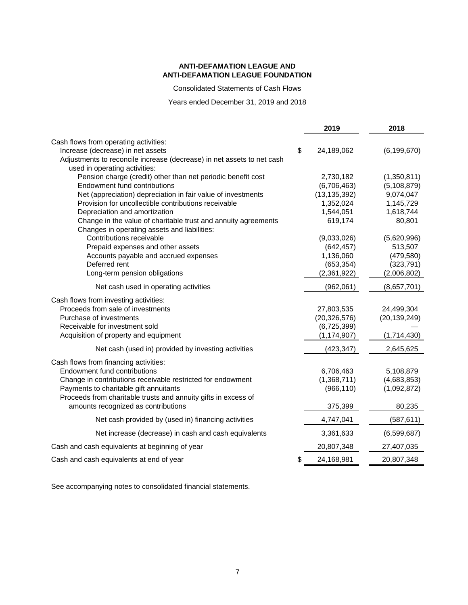Consolidated Statements of Cash Flows

Years ended December 31, 2019 and 2018

|                                                                                                                                                                                                                                                                                                                                                                                                                                                                                                                                                                      | 2019                                                                                                                                                   | 2018                                                                                                                                               |
|----------------------------------------------------------------------------------------------------------------------------------------------------------------------------------------------------------------------------------------------------------------------------------------------------------------------------------------------------------------------------------------------------------------------------------------------------------------------------------------------------------------------------------------------------------------------|--------------------------------------------------------------------------------------------------------------------------------------------------------|----------------------------------------------------------------------------------------------------------------------------------------------------|
| Cash flows from operating activities:                                                                                                                                                                                                                                                                                                                                                                                                                                                                                                                                |                                                                                                                                                        |                                                                                                                                                    |
| Increase (decrease) in net assets<br>Adjustments to reconcile increase (decrease) in net assets to net cash                                                                                                                                                                                                                                                                                                                                                                                                                                                          | \$<br>24,189,062                                                                                                                                       | (6, 199, 670)                                                                                                                                      |
| used in operating activities:<br>Pension charge (credit) other than net periodic benefit cost<br>Endowment fund contributions<br>Net (appreciation) depreciation in fair value of investments<br>Provision for uncollectible contributions receivable<br>Depreciation and amortization<br>Change in the value of charitable trust and annuity agreements<br>Changes in operating assets and liabilities:<br>Contributions receivable<br>Prepaid expenses and other assets<br>Accounts payable and accrued expenses<br>Deferred rent<br>Long-term pension obligations | 2,730,182<br>(6,706,463)<br>(13, 135, 392)<br>1,352,024<br>1,544,051<br>619,174<br>(9,033,026)<br>(642, 457)<br>1,136,060<br>(653, 354)<br>(2,361,922) | (1,350,811)<br>(5, 108, 879)<br>9,074,047<br>1,145,729<br>1,618,744<br>80,801<br>(5,620,996)<br>513,507<br>(479, 580)<br>(323, 791)<br>(2,006,802) |
| Net cash used in operating activities                                                                                                                                                                                                                                                                                                                                                                                                                                                                                                                                | (962,061)                                                                                                                                              | (8,657,701)                                                                                                                                        |
| Cash flows from investing activities:<br>Proceeds from sale of investments<br>Purchase of investments<br>Receivable for investment sold<br>Acquisition of property and equipment                                                                                                                                                                                                                                                                                                                                                                                     | 27,803,535<br>(20, 326, 576)<br>(6,725,399)<br>(1, 174, 907)                                                                                           | 24,499,304<br>(20, 139, 249)<br>(1,714,430)                                                                                                        |
| Net cash (used in) provided by investing activities                                                                                                                                                                                                                                                                                                                                                                                                                                                                                                                  | (423, 347)                                                                                                                                             | 2,645,625                                                                                                                                          |
| Cash flows from financing activities:<br>Endowment fund contributions<br>Change in contributions receivable restricted for endowment<br>Payments to charitable gift annuitants<br>Proceeds from charitable trusts and annuity gifts in excess of<br>amounts recognized as contributions                                                                                                                                                                                                                                                                              | 6,706,463<br>(1,368,711)<br>(966, 110)<br>375,399                                                                                                      | 5,108,879<br>(4,683,853)<br>(1,092,872)<br>80,235                                                                                                  |
| Net cash provided by (used in) financing activities                                                                                                                                                                                                                                                                                                                                                                                                                                                                                                                  | 4,747,041                                                                                                                                              | (587, 611)                                                                                                                                         |
| Net increase (decrease) in cash and cash equivalents                                                                                                                                                                                                                                                                                                                                                                                                                                                                                                                 | 3,361,633                                                                                                                                              | (6,599,687)                                                                                                                                        |
| Cash and cash equivalents at beginning of year                                                                                                                                                                                                                                                                                                                                                                                                                                                                                                                       | 20,807,348                                                                                                                                             | 27,407,035                                                                                                                                         |
| Cash and cash equivalents at end of year                                                                                                                                                                                                                                                                                                                                                                                                                                                                                                                             | \$<br>24,168,981                                                                                                                                       | 20,807,348                                                                                                                                         |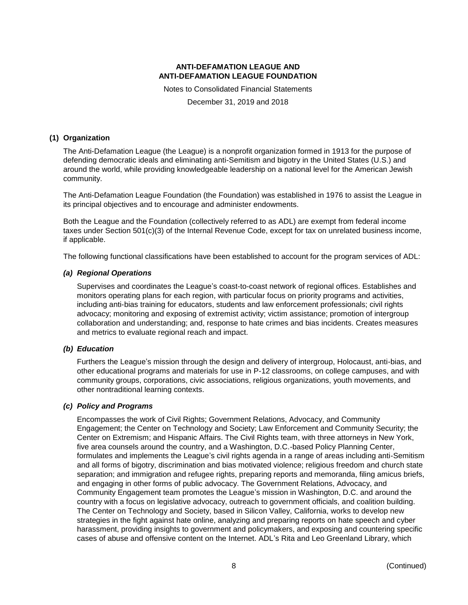Notes to Consolidated Financial Statements

December 31, 2019 and 2018

### **(1) Organization**

The Anti-Defamation League (the League) is a nonprofit organization formed in 1913 for the purpose of defending democratic ideals and eliminating anti-Semitism and bigotry in the United States (U.S.) and around the world, while providing knowledgeable leadership on a national level for the American Jewish community.

The Anti-Defamation League Foundation (the Foundation) was established in 1976 to assist the League in its principal objectives and to encourage and administer endowments.

Both the League and the Foundation (collectively referred to as ADL) are exempt from federal income taxes under Section 501(c)(3) of the Internal Revenue Code, except for tax on unrelated business income, if applicable.

The following functional classifications have been established to account for the program services of ADL:

### *(a) Regional Operations*

Supervises and coordinates the League's coast-to-coast network of regional offices. Establishes and monitors operating plans for each region, with particular focus on priority programs and activities, including anti-bias training for educators, students and law enforcement professionals; civil rights advocacy; monitoring and exposing of extremist activity; victim assistance; promotion of intergroup collaboration and understanding; and, response to hate crimes and bias incidents. Creates measures and metrics to evaluate regional reach and impact.

### *(b) Education*

Furthers the League's mission through the design and delivery of intergroup, Holocaust, anti-bias, and other educational programs and materials for use in P-12 classrooms, on college campuses, and with community groups, corporations, civic associations, religious organizations, youth movements, and other nontraditional learning contexts.

### *(c) Policy and Programs*

Encompasses the work of Civil Rights; Government Relations, Advocacy, and Community Engagement; the Center on Technology and Society; Law Enforcement and Community Security; the Center on Extremism; and Hispanic Affairs. The Civil Rights team, with three attorneys in New York, five area counsels around the country, and a Washington, D.C.-based Policy Planning Center, formulates and implements the League's civil rights agenda in a range of areas including anti-Semitism and all forms of bigotry, discrimination and bias motivated violence; religious freedom and church state separation; and immigration and refugee rights, preparing reports and memoranda, filing amicus briefs, and engaging in other forms of public advocacy. The Government Relations, Advocacy, and Community Engagement team promotes the League's mission in Washington, D.C. and around the country with a focus on legislative advocacy, outreach to government officials, and coalition building. The Center on Technology and Society, based in Silicon Valley, California, works to develop new strategies in the fight against hate online, analyzing and preparing reports on hate speech and cyber harassment, providing insights to government and policymakers, and exposing and countering specific cases of abuse and offensive content on the Internet. ADL's Rita and Leo Greenland Library, which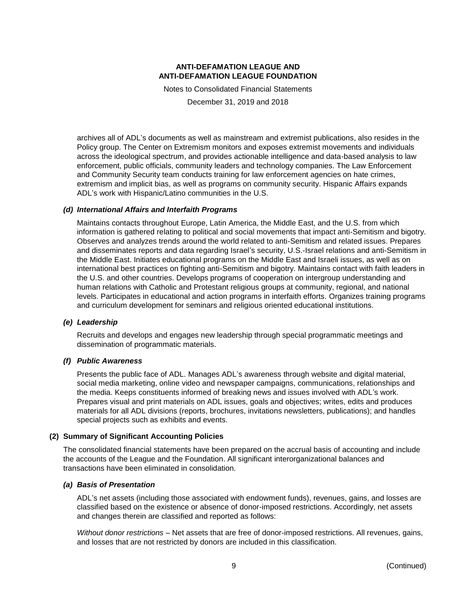Notes to Consolidated Financial Statements

December 31, 2019 and 2018

archives all of ADL's documents as well as mainstream and extremist publications, also resides in the Policy group. The Center on Extremism monitors and exposes extremist movements and individuals across the ideological spectrum, and provides actionable intelligence and data-based analysis to law enforcement, public officials, community leaders and technology companies. The Law Enforcement and Community Security team conducts training for law enforcement agencies on hate crimes, extremism and implicit bias, as well as programs on community security. Hispanic Affairs expands ADL's work with Hispanic/Latino communities in the U.S.

### *(d) International Affairs and Interfaith Programs*

Maintains contacts throughout Europe, Latin America, the Middle East, and the U.S. from which information is gathered relating to political and social movements that impact anti-Semitism and bigotry. Observes and analyzes trends around the world related to anti-Semitism and related issues. Prepares and disseminates reports and data regarding Israel's security, U.S.-Israel relations and anti-Semitism in the Middle East. Initiates educational programs on the Middle East and Israeli issues, as well as on international best practices on fighting anti-Semitism and bigotry. Maintains contact with faith leaders in the U.S. and other countries. Develops programs of cooperation on intergroup understanding and human relations with Catholic and Protestant religious groups at community, regional, and national levels. Participates in educational and action programs in interfaith efforts. Organizes training programs and curriculum development for seminars and religious oriented educational institutions.

### *(e) Leadership*

Recruits and develops and engages new leadership through special programmatic meetings and dissemination of programmatic materials.

### *(f) Public Awareness*

Presents the public face of ADL. Manages ADL's awareness through website and digital material, social media marketing, online video and newspaper campaigns, communications, relationships and the media. Keeps constituents informed of breaking news and issues involved with ADL's work. Prepares visual and print materials on ADL issues, goals and objectives; writes, edits and produces materials for all ADL divisions (reports, brochures, invitations newsletters, publications); and handles special projects such as exhibits and events.

### **(2) Summary of Significant Accounting Policies**

The consolidated financial statements have been prepared on the accrual basis of accounting and include the accounts of the League and the Foundation. All significant interorganizational balances and transactions have been eliminated in consolidation.

### *(a) Basis of Presentation*

ADL's net assets (including those associated with endowment funds), revenues, gains, and losses are classified based on the existence or absence of donor-imposed restrictions. Accordingly, net assets and changes therein are classified and reported as follows:

*Without donor restrictions* – Net assets that are free of donor-imposed restrictions. All revenues, gains, and losses that are not restricted by donors are included in this classification.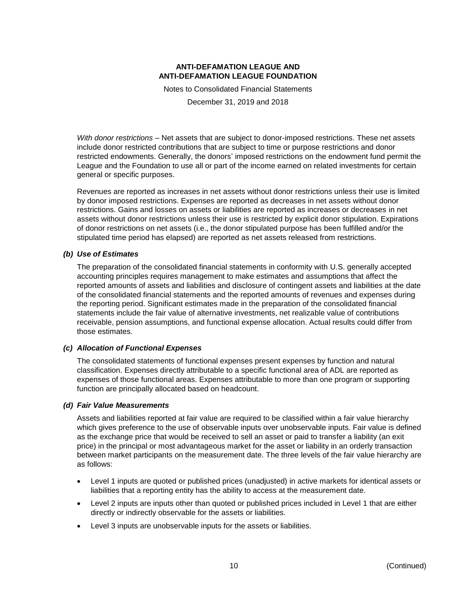Notes to Consolidated Financial Statements

December 31, 2019 and 2018

*With donor restrictions* – Net assets that are subject to donor-imposed restrictions. These net assets include donor restricted contributions that are subject to time or purpose restrictions and donor restricted endowments. Generally, the donors' imposed restrictions on the endowment fund permit the League and the Foundation to use all or part of the income earned on related investments for certain general or specific purposes.

Revenues are reported as increases in net assets without donor restrictions unless their use is limited by donor imposed restrictions. Expenses are reported as decreases in net assets without donor restrictions. Gains and losses on assets or liabilities are reported as increases or decreases in net assets without donor restrictions unless their use is restricted by explicit donor stipulation. Expirations of donor restrictions on net assets (i.e., the donor stipulated purpose has been fulfilled and/or the stipulated time period has elapsed) are reported as net assets released from restrictions.

### *(b) Use of Estimates*

The preparation of the consolidated financial statements in conformity with U.S. generally accepted accounting principles requires management to make estimates and assumptions that affect the reported amounts of assets and liabilities and disclosure of contingent assets and liabilities at the date of the consolidated financial statements and the reported amounts of revenues and expenses during the reporting period. Significant estimates made in the preparation of the consolidated financial statements include the fair value of alternative investments, net realizable value of contributions receivable, pension assumptions, and functional expense allocation. Actual results could differ from those estimates.

### *(c) Allocation of Functional Expenses*

The consolidated statements of functional expenses present expenses by function and natural classification. Expenses directly attributable to a specific functional area of ADL are reported as expenses of those functional areas. Expenses attributable to more than one program or supporting function are principally allocated based on headcount.

### *(d) Fair Value Measurements*

Assets and liabilities reported at fair value are required to be classified within a fair value hierarchy which gives preference to the use of observable inputs over unobservable inputs. Fair value is defined as the exchange price that would be received to sell an asset or paid to transfer a liability (an exit price) in the principal or most advantageous market for the asset or liability in an orderly transaction between market participants on the measurement date. The three levels of the fair value hierarchy are as follows:

- Level 1 inputs are quoted or published prices (unadjusted) in active markets for identical assets or liabilities that a reporting entity has the ability to access at the measurement date.
- Level 2 inputs are inputs other than quoted or published prices included in Level 1 that are either directly or indirectly observable for the assets or liabilities.
- Level 3 inputs are unobservable inputs for the assets or liabilities.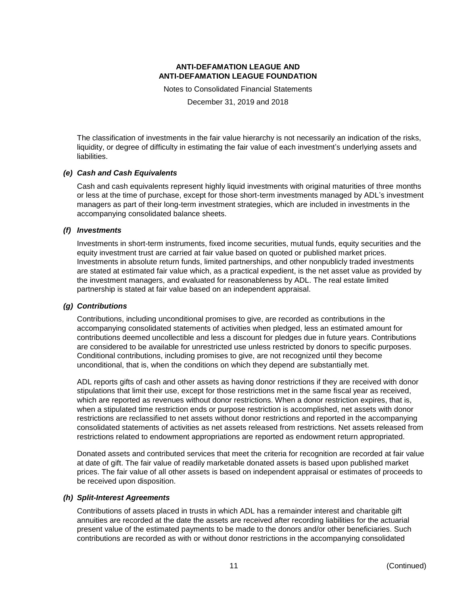Notes to Consolidated Financial Statements

December 31, 2019 and 2018

The classification of investments in the fair value hierarchy is not necessarily an indication of the risks, liquidity, or degree of difficulty in estimating the fair value of each investment's underlying assets and liabilities.

### *(e) Cash and Cash Equivalents*

Cash and cash equivalents represent highly liquid investments with original maturities of three months or less at the time of purchase, except for those short-term investments managed by ADL's investment managers as part of their long-term investment strategies, which are included in investments in the accompanying consolidated balance sheets.

#### *(f) Investments*

Investments in short-term instruments, fixed income securities, mutual funds, equity securities and the equity investment trust are carried at fair value based on quoted or published market prices. Investments in absolute return funds, limited partnerships, and other nonpublicly traded investments are stated at estimated fair value which, as a practical expedient, is the net asset value as provided by the investment managers, and evaluated for reasonableness by ADL. The real estate limited partnership is stated at fair value based on an independent appraisal.

#### *(g) Contributions*

Contributions, including unconditional promises to give, are recorded as contributions in the accompanying consolidated statements of activities when pledged, less an estimated amount for contributions deemed uncollectible and less a discount for pledges due in future years. Contributions are considered to be available for unrestricted use unless restricted by donors to specific purposes. Conditional contributions, including promises to give, are not recognized until they become unconditional, that is, when the conditions on which they depend are substantially met.

ADL reports gifts of cash and other assets as having donor restrictions if they are received with donor stipulations that limit their use, except for those restrictions met in the same fiscal year as received, which are reported as revenues without donor restrictions. When a donor restriction expires, that is, when a stipulated time restriction ends or purpose restriction is accomplished, net assets with donor restrictions are reclassified to net assets without donor restrictions and reported in the accompanying consolidated statements of activities as net assets released from restrictions. Net assets released from restrictions related to endowment appropriations are reported as endowment return appropriated.

Donated assets and contributed services that meet the criteria for recognition are recorded at fair value at date of gift. The fair value of readily marketable donated assets is based upon published market prices. The fair value of all other assets is based on independent appraisal or estimates of proceeds to be received upon disposition.

### *(h) Split-Interest Agreements*

Contributions of assets placed in trusts in which ADL has a remainder interest and charitable gift annuities are recorded at the date the assets are received after recording liabilities for the actuarial present value of the estimated payments to be made to the donors and/or other beneficiaries. Such contributions are recorded as with or without donor restrictions in the accompanying consolidated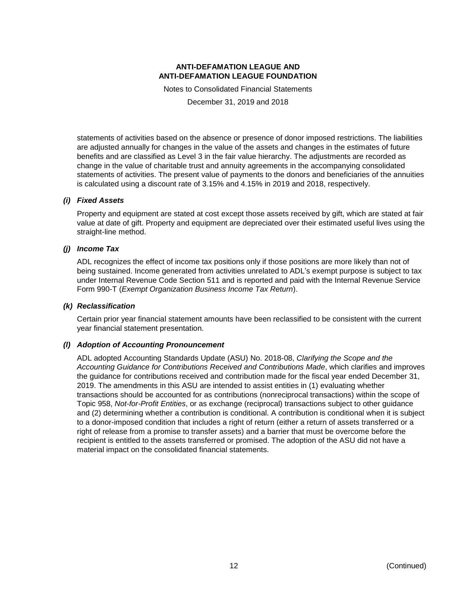Notes to Consolidated Financial Statements

December 31, 2019 and 2018

statements of activities based on the absence or presence of donor imposed restrictions. The liabilities are adjusted annually for changes in the value of the assets and changes in the estimates of future benefits and are classified as Level 3 in the fair value hierarchy. The adjustments are recorded as change in the value of charitable trust and annuity agreements in the accompanying consolidated statements of activities. The present value of payments to the donors and beneficiaries of the annuities is calculated using a discount rate of 3.15% and 4.15% in 2019 and 2018, respectively.

### *(i) Fixed Assets*

Property and equipment are stated at cost except those assets received by gift, which are stated at fair value at date of gift. Property and equipment are depreciated over their estimated useful lives using the straight-line method.

### *(j) Income Tax*

ADL recognizes the effect of income tax positions only if those positions are more likely than not of being sustained. Income generated from activities unrelated to ADL's exempt purpose is subject to tax under Internal Revenue Code Section 511 and is reported and paid with the Internal Revenue Service Form 990-T (*Exempt Organization Business Income Tax Return*).

#### *(k) Reclassification*

Certain prior year financial statement amounts have been reclassified to be consistent with the current year financial statement presentation.

### *(l) Adoption of Accounting Pronouncement*

ADL adopted Accounting Standards Update (ASU) No. 2018-08, *Clarifying the Scope and the Accounting Guidance for Contributions Received and Contributions Made*, which clarifies and improves the guidance for contributions received and contribution made for the fiscal year ended December 31, 2019. The amendments in this ASU are intended to assist entities in (1) evaluating whether transactions should be accounted for as contributions (nonreciprocal transactions) within the scope of Topic 958, *Not-for-Profit Entities*, or as exchange (reciprocal) transactions subject to other guidance and (2) determining whether a contribution is conditional. A contribution is conditional when it is subject to a donor-imposed condition that includes a right of return (either a return of assets transferred or a right of release from a promise to transfer assets) and a barrier that must be overcome before the recipient is entitled to the assets transferred or promised. The adoption of the ASU did not have a material impact on the consolidated financial statements.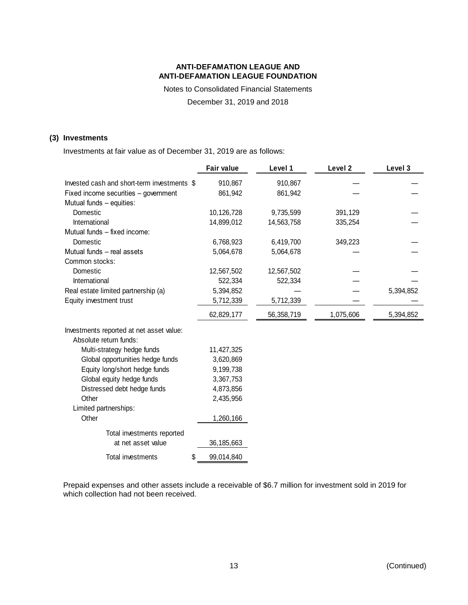Notes to Consolidated Financial Statements

December 31, 2019 and 2018

### **(3) Investments**

Investments at fair value as of December 31, 2019 are as follows:

|                                             | <b>Fair value</b> | Level 1    | Level <sub>2</sub> | Level 3   |
|---------------------------------------------|-------------------|------------|--------------------|-----------|
| Invested cash and short-term investments \$ | 910,867           | 910,867    |                    |           |
| Fixed income securities - government        | 861,942           | 861,942    |                    |           |
| Mutual funds - equities:                    |                   |            |                    |           |
| Domestic                                    | 10,126,728        | 9,735,599  | 391,129            |           |
| International                               | 14,899,012        | 14,563,758 | 335,254            |           |
| Mutual funds - fixed income:                |                   |            |                    |           |
| Domestic                                    | 6,768,923         | 6,419,700  | 349,223            |           |
| Mutual funds - real assets                  | 5,064,678         | 5,064,678  |                    |           |
| Common stocks:                              |                   |            |                    |           |
| Domestic                                    | 12,567,502        | 12,567,502 |                    |           |
| International                               | 522,334           | 522,334    |                    |           |
| Real estate limited partnership (a)         | 5,394,852         |            |                    | 5,394,852 |
| Equity investment trust                     | 5,712,339         | 5,712,339  |                    |           |
|                                             | 62,829,177        | 56,358,719 | 1,075,606          | 5,394,852 |
| Investments reported at net asset value:    |                   |            |                    |           |
| Absolute return funds:                      |                   |            |                    |           |
| Multi-strategy hedge funds                  | 11,427,325        |            |                    |           |
| Global opportunities hedge funds            | 3,620,869         |            |                    |           |
| Equity long/short hedge funds               | 9,199,738         |            |                    |           |
| Global equity hedge funds                   | 3,367,753         |            |                    |           |
| Distressed debt hedge funds                 | 4,873,856         |            |                    |           |
| Other                                       | 2,435,956         |            |                    |           |
| Limited partnerships:                       |                   |            |                    |           |
| Other                                       | 1,260,166         |            |                    |           |
| Total investments reported                  |                   |            |                    |           |
| at net asset value                          | 36,185,663        |            |                    |           |
| Total investments                           | 99,014,840<br>\$  |            |                    |           |

Prepaid expenses and other assets include a receivable of \$6.7 million for investment sold in 2019 for which collection had not been received.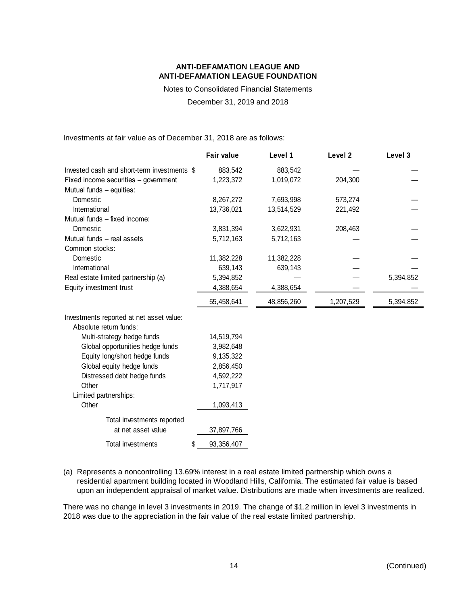Notes to Consolidated Financial Statements

December 31, 2019 and 2018

Investments at fair value as of December 31, 2018 are as follows:

|                                             | <b>Fair value</b> | Level 1    | Level <sub>2</sub> | Level 3   |
|---------------------------------------------|-------------------|------------|--------------------|-----------|
| Invested cash and short-term investments \$ | 883,542           | 883,542    |                    |           |
| Fixed income securities - government        | 1,223,372         | 1,019,072  | 204,300            |           |
| Mutual funds - equities:                    |                   |            |                    |           |
| Domestic                                    | 8,267,272         | 7,693,998  | 573,274            |           |
| International                               | 13,736,021        | 13,514,529 | 221,492            |           |
| Mutual funds - fixed income:                |                   |            |                    |           |
| Domestic                                    | 3,831,394         | 3,622,931  | 208,463            |           |
| Mutual funds - real assets                  | 5,712,163         | 5,712,163  |                    |           |
| Common stocks:                              |                   |            |                    |           |
| Domestic                                    | 11,382,228        | 11,382,228 |                    |           |
| International                               | 639,143           | 639,143    |                    |           |
| Real estate limited partnership (a)         | 5,394,852         |            |                    | 5,394,852 |
| Equity investment trust                     | 4,388,654         | 4,388,654  |                    |           |
|                                             | 55,458,641        | 48,856,260 | 1,207,529          | 5,394,852 |
| Investments reported at net asset value:    |                   |            |                    |           |
| Absolute return funds:                      |                   |            |                    |           |
| Multi-strategy hedge funds                  | 14,519,794        |            |                    |           |
| Global opportunities hedge funds            | 3,982,648         |            |                    |           |
| Equity long/short hedge funds               | 9,135,322         |            |                    |           |
| Global equity hedge funds                   | 2,856,450         |            |                    |           |
| Distressed debt hedge funds                 | 4,592,222         |            |                    |           |
| Other                                       | 1,717,917         |            |                    |           |
| Limited partnerships:                       |                   |            |                    |           |
| Other                                       | 1,093,413         |            |                    |           |
| Total investments reported                  |                   |            |                    |           |
| at net asset value                          | 37,897,766        |            |                    |           |
| <b>Total investments</b>                    | 93,356,407<br>\$  |            |                    |           |

(a) Represents a noncontrolling 13.69% interest in a real estate limited partnership which owns a residential apartment building located in Woodland Hills, California. The estimated fair value is based upon an independent appraisal of market value. Distributions are made when investments are realized.

There was no change in level 3 investments in 2019. The change of \$1.2 million in level 3 investments in 2018 was due to the appreciation in the fair value of the real estate limited partnership.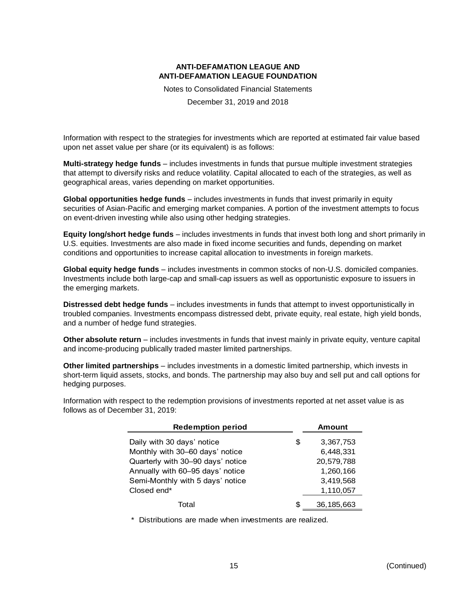Notes to Consolidated Financial Statements

December 31, 2019 and 2018

Information with respect to the strategies for investments which are reported at estimated fair value based upon net asset value per share (or its equivalent) is as follows:

**Multi-strategy hedge funds** – includes investments in funds that pursue multiple investment strategies that attempt to diversify risks and reduce volatility. Capital allocated to each of the strategies, as well as geographical areas, varies depending on market opportunities.

**Global opportunities hedge funds** – includes investments in funds that invest primarily in equity securities of Asian-Pacific and emerging market companies. A portion of the investment attempts to focus on event-driven investing while also using other hedging strategies.

**Equity long/short hedge funds** – includes investments in funds that invest both long and short primarily in U.S. equities. Investments are also made in fixed income securities and funds, depending on market conditions and opportunities to increase capital allocation to investments in foreign markets.

**Global equity hedge funds** – includes investments in common stocks of non-U.S. domiciled companies. Investments include both large-cap and small-cap issuers as well as opportunistic exposure to issuers in the emerging markets.

**Distressed debt hedge funds** – includes investments in funds that attempt to invest opportunistically in troubled companies. Investments encompass distressed debt, private equity, real estate, high yield bonds, and a number of hedge fund strategies.

**Other absolute return** – includes investments in funds that invest mainly in private equity, venture capital and income-producing publically traded master limited partnerships.

**Other limited partnerships** – includes investments in a domestic limited partnership, which invests in short-term liquid assets, stocks, and bonds. The partnership may also buy and sell put and call options for hedging purposes.

Information with respect to the redemption provisions of investments reported at net asset value is as follows as of December 31, 2019:

| <b>Redemption period</b>          |   | <b>Amount</b> |
|-----------------------------------|---|---------------|
| Daily with 30 days' notice        | S | 3,367,753     |
| Monthly with 30-60 days' notice   |   | 6,448,331     |
| Quarterly with 30-90 days' notice |   | 20,579,788    |
| Annually with 60-95 days' notice  |   | 1,260,166     |
| Semi-Monthly with 5 days' notice  |   | 3,419,568     |
| Closed end*                       |   | 1,110,057     |
| Total                             | S | 36,185,663    |

\* Distributions are made when investments are realized.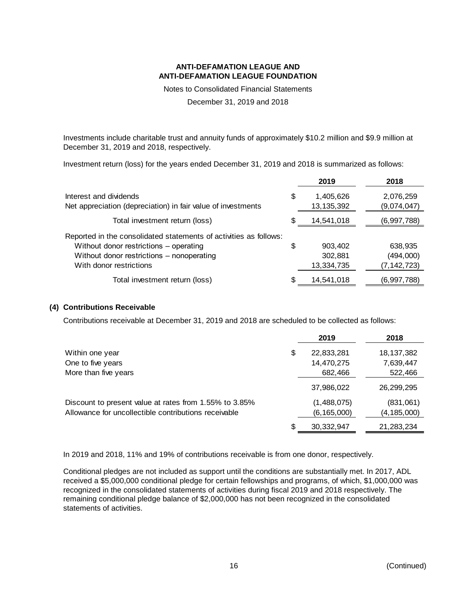Notes to Consolidated Financial Statements

December 31, 2019 and 2018

Investments include charitable trust and annuity funds of approximately \$10.2 million and \$9.9 million at December 31, 2019 and 2018, respectively.

Investment return (loss) for the years ended December 31, 2019 and 2018 is summarized as follows:

|                                                                                                                                                                                     |     | 2019                             | 2018                                  |
|-------------------------------------------------------------------------------------------------------------------------------------------------------------------------------------|-----|----------------------------------|---------------------------------------|
| Interest and dividends<br>Net appreciation (depreciation) in fair value of investments                                                                                              | \$  | 1,405,626<br>13, 135, 392        | 2,076,259<br>(9,074,047)              |
| Total investment return (loss)                                                                                                                                                      | SS. | 14,541,018                       | (6,997,788)                           |
| Reported in the consolidated statements of activities as follows:<br>Without donor restrictions – operating<br>Without donor restrictions - nonoperating<br>With donor restrictions | \$  | 903,402<br>302,881<br>13,334,735 | 638,935<br>(494,000)<br>(7, 142, 723) |
| Total investment return (loss)                                                                                                                                                      |     | 14,541,018                       | (6,997,788)                           |

### **(4) Contributions Receivable**

Contributions receivable at December 31, 2019 and 2018 are scheduled to be collected as follows:

|                                                        | 2019             | 2018          |
|--------------------------------------------------------|------------------|---------------|
| Within one year                                        | \$<br>22,833,281 | 18, 137, 382  |
| One to five years                                      | 14,470,275       | 7,639,447     |
| More than five years                                   | 682,466          | 522,466       |
|                                                        | 37,986,022       | 26,299,295    |
| Discount to present value at rates from 1.55% to 3.85% | (1,488,075)      | (831,061)     |
| Allowance for uncollectible contributions receivable   | (6, 165, 000)    | (4, 185, 000) |
|                                                        | 30,332,947       | 21,283,234    |

In 2019 and 2018, 11% and 19% of contributions receivable is from one donor, respectively.

Conditional pledges are not included as support until the conditions are substantially met. In 2017, ADL received a \$5,000,000 conditional pledge for certain fellowships and programs, of which, \$1,000,000 was recognized in the consolidated statements of activities during fiscal 2019 and 2018 respectively. The remaining conditional pledge balance of \$2,000,000 has not been recognized in the consolidated statements of activities.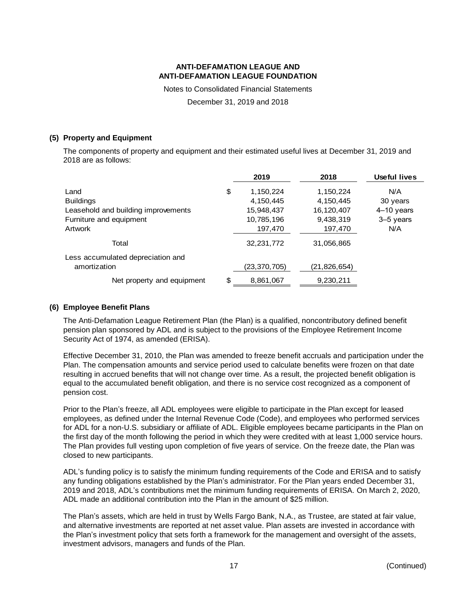Notes to Consolidated Financial Statements

December 31, 2019 and 2018

### **(5) Property and Equipment**

The components of property and equipment and their estimated useful lives at December 31, 2019 and 2018 are as follows:

|                                     | 2019            | 2018           | Useful lives |
|-------------------------------------|-----------------|----------------|--------------|
| Land                                | \$<br>1,150,224 | 1,150,224      | N/A          |
| <b>Buildings</b>                    | 4,150,445       | 4,150,445      | 30 years     |
| Leasehold and building improvements | 15,948,437      | 16,120,407     | $4-10$ years |
| Furniture and equipment             | 10,785,196      | 9,438,319      | 3-5 years    |
| Artwork                             | 197,470         | 197,470        | N/A          |
| Total                               | 32,231,772      | 31,056,865     |              |
| Less accumulated depreciation and   |                 |                |              |
| amortization                        | (23, 370, 705)  | (21, 826, 654) |              |
| Net property and equipment          | \$<br>8,861,067 | 9,230,211      |              |

### **(6) Employee Benefit Plans**

The Anti-Defamation League Retirement Plan (the Plan) is a qualified, noncontributory defined benefit pension plan sponsored by ADL and is subject to the provisions of the Employee Retirement Income Security Act of 1974, as amended (ERISA).

Effective December 31, 2010, the Plan was amended to freeze benefit accruals and participation under the Plan. The compensation amounts and service period used to calculate benefits were frozen on that date resulting in accrued benefits that will not change over time. As a result, the projected benefit obligation is equal to the accumulated benefit obligation, and there is no service cost recognized as a component of pension cost.

Prior to the Plan's freeze, all ADL employees were eligible to participate in the Plan except for leased employees, as defined under the Internal Revenue Code (Code), and employees who performed services for ADL for a non-U.S. subsidiary or affiliate of ADL. Eligible employees became participants in the Plan on the first day of the month following the period in which they were credited with at least 1,000 service hours. The Plan provides full vesting upon completion of five years of service. On the freeze date, the Plan was closed to new participants.

ADL's funding policy is to satisfy the minimum funding requirements of the Code and ERISA and to satisfy any funding obligations established by the Plan's administrator. For the Plan years ended December 31, 2019 and 2018, ADL's contributions met the minimum funding requirements of ERISA. On March 2, 2020, ADL made an additional contribution into the Plan in the amount of \$25 million.

The Plan's assets, which are held in trust by Wells Fargo Bank, N.A., as Trustee, are stated at fair value, and alternative investments are reported at net asset value. Plan assets are invested in accordance with the Plan's investment policy that sets forth a framework for the management and oversight of the assets, investment advisors, managers and funds of the Plan.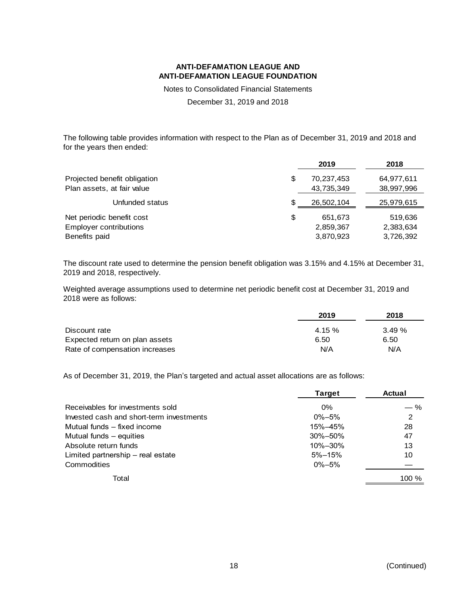Notes to Consolidated Financial Statements

December 31, 2019 and 2018

The following table provides information with respect to the Plan as of December 31, 2019 and 2018 and for the years then ended:

|                               |    | 2019       | 2018       |
|-------------------------------|----|------------|------------|
| Projected benefit obligation  | \$ | 70,237,453 | 64,977,611 |
| Plan assets, at fair value    |    | 43,735,349 | 38,997,996 |
| Unfunded status               | S  | 26,502,104 | 25,979,615 |
| Net periodic benefit cost     | \$ | 651,673    | 519,636    |
| <b>Employer contributions</b> |    | 2,859,367  | 2,383,634  |
| Benefits paid                 |    | 3,870,923  | 3,726,392  |

The discount rate used to determine the pension benefit obligation was 3.15% and 4.15% at December 31, 2019 and 2018, respectively.

Weighted average assumptions used to determine net periodic benefit cost at December 31, 2019 and 2018 were as follows:

|                                | 2019  | 2018  |
|--------------------------------|-------|-------|
| Discount rate                  | 4.15% | 3.49% |
| Expected return on plan assets | 6.50  | 6.50  |
| Rate of compensation increases | N/A   | N/A   |

As of December 31, 2019, the Plan's targeted and actual asset allocations are as follows:

|                                          | <b>Target</b> | <b>Actual</b> |
|------------------------------------------|---------------|---------------|
| Receivables for investments sold         | $0\%$         | $-$ %         |
| Invested cash and short-term investments | $0\% - 5\%$   | 2             |
| Mutual funds – fixed income              | 15%-45%       | 28            |
| Mutual funds $-$ equities                | 30%-50%       | 47            |
| Absolute return funds                    | 10%-30%       | 13            |
| Limited partnership - real estate        | $5% - 15%$    | 10            |
| Commodities                              | $0\% - 5\%$   |               |
| Total                                    |               | $100 \%$      |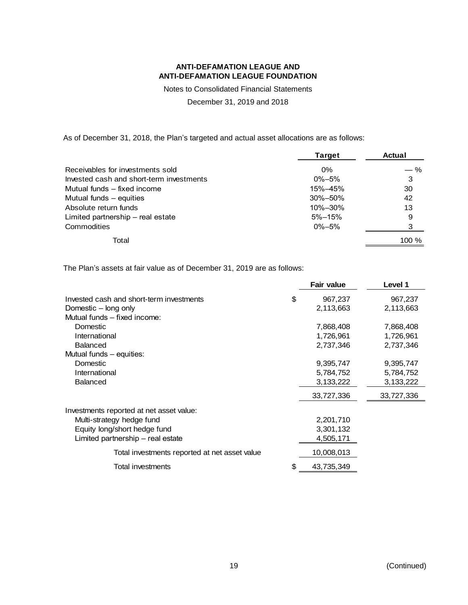Notes to Consolidated Financial Statements

December 31, 2019 and 2018

As of December 31, 2018, the Plan's targeted and actual asset allocations are as follows:

|                                          | <b>Target</b> | <b>Actual</b> |
|------------------------------------------|---------------|---------------|
| Receivables for investments sold         | $0\%$         | $-$ %         |
| Invested cash and short-term investments | $0\% - 5\%$   | 3             |
| Mutual funds - fixed income              | 15%-45%       | 30            |
| Mutual funds $-$ equities                | $30\% - 50\%$ | 42            |
| Absolute return funds                    | 10%-30%       | 13            |
| Limited partnership - real estate        | $5\% - 15\%$  | 9             |
| Commodities                              | $0\% - 5\%$   | 3             |
| Total                                    |               | $100 \%$      |

The Plan's assets at fair value as of December 31, 2019 are as follows:

|                                               | <b>Fair value</b> | Level 1     |
|-----------------------------------------------|-------------------|-------------|
| Invested cash and short-term investments      | \$<br>967,237     | 967,237     |
| Domestic – long only                          | 2,113,663         | 2,113,663   |
| Mutual funds - fixed income:                  |                   |             |
| Domestic                                      | 7,868,408         | 7,868,408   |
| International                                 | 1,726,961         | 1,726,961   |
| Balanced                                      | 2,737,346         | 2,737,346   |
| Mutual funds – equities:                      |                   |             |
| Domestic                                      | 9,395,747         | 9,395,747   |
| International                                 | 5,784,752         | 5,784,752   |
| <b>Balanced</b>                               | 3,133,222         | 3, 133, 222 |
|                                               | 33,727,336        | 33,727,336  |
| Investments reported at net asset value:      |                   |             |
| Multi-strategy hedge fund                     | 2,201,710         |             |
| Equity long/short hedge fund                  | 3,301,132         |             |
| Limited partnership - real estate             | 4,505,171         |             |
| Total investments reported at net asset value | 10,008,013        |             |
| Total investments                             | \$<br>43,735,349  |             |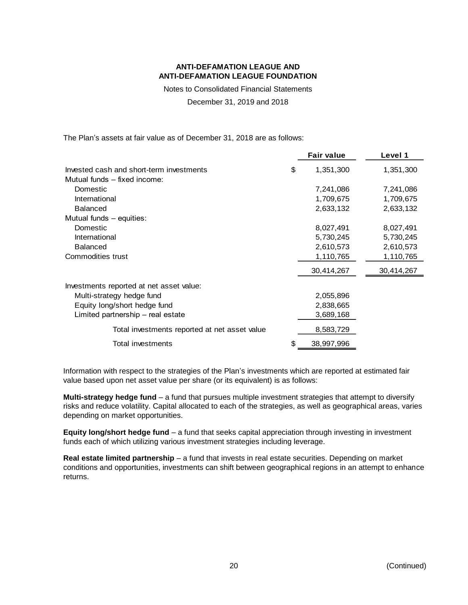Notes to Consolidated Financial Statements

December 31, 2019 and 2018

The Plan's assets at fair value as of December 31, 2018 are as follows:

|                                               |    | <b>Fair value</b> | Level 1    |
|-----------------------------------------------|----|-------------------|------------|
| Invested cash and short-term investments      | \$ | 1,351,300         | 1,351,300  |
| Mutual funds – fixed income:                  |    |                   |            |
| Domestic                                      |    | 7,241,086         | 7,241,086  |
| International                                 |    | 1,709,675         | 1,709,675  |
| <b>Balanced</b>                               |    | 2,633,132         | 2,633,132  |
| Mutual funds $-$ equities:                    |    |                   |            |
| Domestic                                      |    | 8,027,491         | 8,027,491  |
| International                                 |    | 5,730,245         | 5,730,245  |
| <b>Balanced</b>                               |    | 2,610,573         | 2,610,573  |
| Commodities trust                             |    | 1,110,765         | 1,110,765  |
|                                               |    | 30,414,267        | 30,414,267 |
| Investments reported at net asset value:      |    |                   |            |
| Multi-strategy hedge fund                     |    | 2,055,896         |            |
| Equity long/short hedge fund                  |    | 2,838,665         |            |
| Limited partnership - real estate             |    | 3,689,168         |            |
| Total investments reported at net asset value |    | 8,583,729         |            |
| Total investments                             | S  | 38,997,996        |            |

Information with respect to the strategies of the Plan's investments which are reported at estimated fair value based upon net asset value per share (or its equivalent) is as follows:

**Multi-strategy hedge fund** – a fund that pursues multiple investment strategies that attempt to diversify risks and reduce volatility. Capital allocated to each of the strategies, as well as geographical areas, varies depending on market opportunities.

**Equity long/short hedge fund** – a fund that seeks capital appreciation through investing in investment funds each of which utilizing various investment strategies including leverage.

**Real estate limited partnership** – a fund that invests in real estate securities. Depending on market conditions and opportunities, investments can shift between geographical regions in an attempt to enhance returns.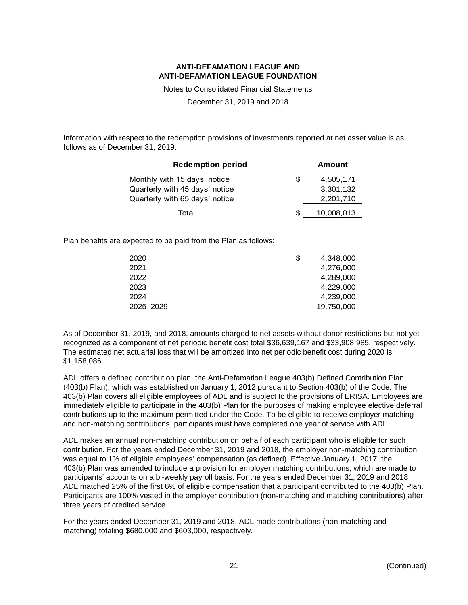Notes to Consolidated Financial Statements

December 31, 2019 and 2018

Information with respect to the redemption provisions of investments reported at net asset value is as follows as of December 31, 2019:

| <b>Redemption period</b>       |    | <b>Amount</b> |
|--------------------------------|----|---------------|
| Monthly with 15 days' notice   | \$ | 4,505,171     |
| Quarterly with 45 days' notice |    | 3,301,132     |
| Quarterly with 65 days' notice |    | 2,201,710     |
| Total                          | S  | 10,008,013    |

Plan benefits are expected to be paid from the Plan as follows:

| 2020      | \$<br>4,348,000 |
|-----------|-----------------|
| 2021      | 4,276,000       |
| 2022      | 4,289,000       |
| 2023      | 4,229,000       |
| 2024      | 4,239,000       |
| 2025-2029 | 19,750,000      |
|           |                 |

As of December 31, 2019, and 2018, amounts charged to net assets without donor restrictions but not yet recognized as a component of net periodic benefit cost total \$36,639,167 and \$33,908,985, respectively. The estimated net actuarial loss that will be amortized into net periodic benefit cost during 2020 is \$1,158,086.

ADL offers a defined contribution plan, the Anti-Defamation League 403(b) Defined Contribution Plan (403(b) Plan), which was established on January 1, 2012 pursuant to Section 403(b) of the Code. The 403(b) Plan covers all eligible employees of ADL and is subject to the provisions of ERISA. Employees are immediately eligible to participate in the 403(b) Plan for the purposes of making employee elective deferral contributions up to the maximum permitted under the Code. To be eligible to receive employer matching and non-matching contributions, participants must have completed one year of service with ADL.

ADL makes an annual non-matching contribution on behalf of each participant who is eligible for such contribution. For the years ended December 31, 2019 and 2018, the employer non-matching contribution was equal to 1% of eligible employees' compensation (as defined). Effective January 1, 2017, the 403(b) Plan was amended to include a provision for employer matching contributions, which are made to participants' accounts on a bi-weekly payroll basis. For the years ended December 31, 2019 and 2018, ADL matched 25% of the first 6% of eligible compensation that a participant contributed to the 403(b) Plan. Participants are 100% vested in the employer contribution (non-matching and matching contributions) after three years of credited service.

For the years ended December 31, 2019 and 2018, ADL made contributions (non-matching and matching) totaling \$680,000 and \$603,000, respectively.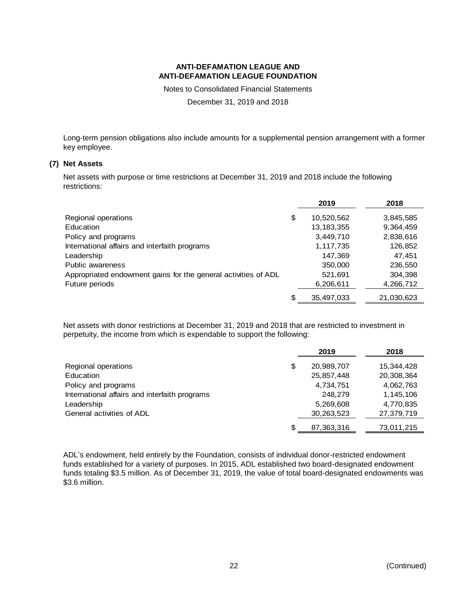Notes to Consolidated Financial Statements

December 31, 2019 and 2018

Long-term pension obligations also include amounts for a supplemental pension arrangement with a former key employee.

### **(7) Net Assets**

Net assets with purpose or time restrictions at December 31, 2019 and 2018 include the following restrictions:

|                                                                | 2019             | 2018       |
|----------------------------------------------------------------|------------------|------------|
| Regional operations                                            | \$<br>10,520,562 | 3,845,585  |
| Education                                                      | 13, 183, 355     | 9,364,459  |
| Policy and programs                                            | 3,449,710        | 2,838,616  |
| International affairs and interfaith programs                  | 1,117,735        | 126,852    |
| Leadership                                                     | 147,369          | 47,451     |
| Public awareness                                               | 350,000          | 236,550    |
| Appropriated endowment gains for the general activities of ADL | 521,691          | 304,398    |
| Future periods                                                 | 6,206,611        | 4,266,712  |
|                                                                | \$<br>35,497,033 | 21,030,623 |

Net assets with donor restrictions at December 31, 2019 and 2018 that are restricted to investment in perpetuity, the income from which is expendable to support the following:

|                                               | 2019             | 2018       |
|-----------------------------------------------|------------------|------------|
| Regional operations                           | \$<br>20,989,707 | 15,344,428 |
| Education                                     | 25,857,448       | 20,308,364 |
| Policy and programs                           | 4,734,751        | 4,062,763  |
| International affairs and interfaith programs | 248.279          | 1,145,106  |
| Leadership                                    | 5,269,608        | 4,770,835  |
| General activities of ADL                     | 30,263,523       | 27,379,719 |
|                                               | \$<br>87,363,316 | 73,011,215 |

ADL's endowment, held entirely by the Foundation, consists of individual donor-restricted endowment funds established for a variety of purposes. In 2015, ADL established two board-designated endowment funds totaling \$3.5 million. As of December 31, 2019, the value of total board-designated endowments was \$3.6 million.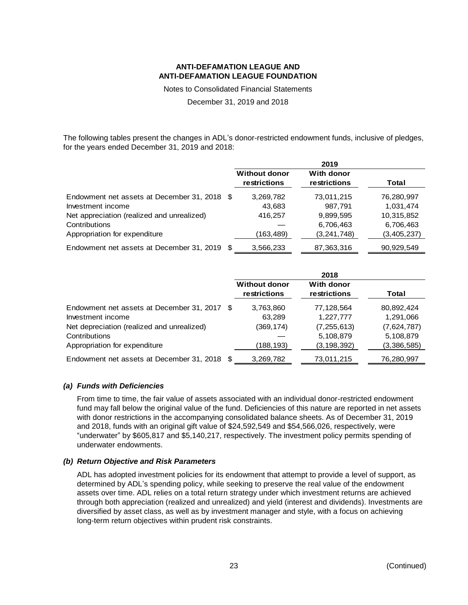Notes to Consolidated Financial Statements

December 31, 2019 and 2018

The following tables present the changes in ADL's donor-restricted endowment funds, inclusive of pledges, for the years ended December 31, 2019 and 2018:

|                                              |                                      | 2019                       |             |
|----------------------------------------------|--------------------------------------|----------------------------|-------------|
|                                              | <b>Without donor</b><br>restrictions | With donor<br>restrictions | Total       |
| Endowment net assets at December 31, 2018 \$ | 3,269,782                            | 73,011,215                 | 76,280,997  |
| Investment income                            | 43,683                               | 987.791                    | 1,031,474   |
| Net appreciation (realized and unrealized)   | 416,257                              | 9,899,595                  | 10,315,852  |
| Contributions                                |                                      | 6,706,463                  | 6,706,463   |
| Appropriation for expenditure                | (163,489)                            | (3,241,748)                | (3,405,237) |
| Endowment net assets at December 31, 2019 \$ | 3,566,233                            | 87,363,316                 | 90,929,549  |

|                                              |                                      | 2018                       |             |
|----------------------------------------------|--------------------------------------|----------------------------|-------------|
|                                              | <b>Without donor</b><br>restrictions | With donor<br>restrictions | Total       |
| Endowment net assets at December 31, 2017 \$ | 3,763,860                            | 77,128,564                 | 80,892,424  |
| Investment income                            | 63.289                               | 1,227,777                  | 1,291,066   |
| Net depreciation (realized and unrealized)   | (369, 174)                           | (7, 255, 613)              | (7,624,787) |
| Contributions                                |                                      | 5,108,879                  | 5,108,879   |
| Appropriation for expenditure                | (188,193)                            | (3, 198, 392)              | (3,386,585) |
| Endowment net assets at December 31, 2018 \$ | 3,269,782                            | 73,011,215                 | 76,280,997  |

### *(a) Funds with Deficiencies*

From time to time, the fair value of assets associated with an individual donor-restricted endowment fund may fall below the original value of the fund. Deficiencies of this nature are reported in net assets with donor restrictions in the accompanying consolidated balance sheets. As of December 31, 2019 and 2018, funds with an original gift value of \$24,592,549 and \$54,566,026, respectively, were "underwater" by \$605,817 and \$5,140,217, respectively. The investment policy permits spending of underwater endowments.

### *(b) Return Objective and Risk Parameters*

ADL has adopted investment policies for its endowment that attempt to provide a level of support, as determined by ADL's spending policy, while seeking to preserve the real value of the endowment assets over time. ADL relies on a total return strategy under which investment returns are achieved through both appreciation (realized and unrealized) and yield (interest and dividends). Investments are diversified by asset class, as well as by investment manager and style, with a focus on achieving long-term return objectives within prudent risk constraints.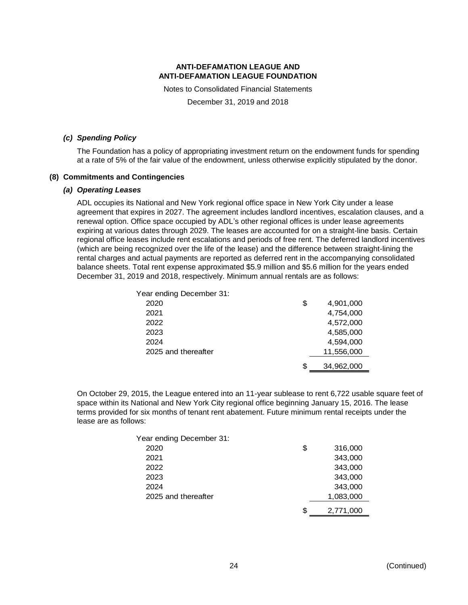Notes to Consolidated Financial Statements

December 31, 2019 and 2018

#### *(c) Spending Policy*

The Foundation has a policy of appropriating investment return on the endowment funds for spending at a rate of 5% of the fair value of the endowment, unless otherwise explicitly stipulated by the donor.

#### **(8) Commitments and Contingencies**

#### *(a) Operating Leases*

ADL occupies its National and New York regional office space in New York City under a lease agreement that expires in 2027. The agreement includes landlord incentives, escalation clauses, and a renewal option. Office space occupied by ADL's other regional offices is under lease agreements expiring at various dates through 2029. The leases are accounted for on a straight-line basis. Certain regional office leases include rent escalations and periods of free rent. The deferred landlord incentives (which are being recognized over the life of the lease) and the difference between straight-lining the rental charges and actual payments are reported as deferred rent in the accompanying consolidated balance sheets. Total rent expense approximated \$5.9 million and \$5.6 million for the years ended December 31, 2019 and 2018, respectively. Minimum annual rentals are as follows:

> Year ending December 31: \$ 4,901,000 4,754,000 4,572,000 4,585,000 4,594,000 2025 and thereafter 11,556,000 \$ 34,962,000

On October 29, 2015, the League entered into an 11-year sublease to rent 6,722 usable square feet of space within its National and New York City regional office beginning January 15, 2016. The lease terms provided for six months of tenant rent abatement. Future minimum rental receipts under the lease are as follows:

| Year ending December 31: |                 |
|--------------------------|-----------------|
| 2020                     | \$<br>316,000   |
| 2021                     | 343,000         |
| 2022                     | 343,000         |
| 2023                     | 343,000         |
| 2024                     | 343,000         |
| 2025 and thereafter      | 1,083,000       |
|                          | \$<br>2,771,000 |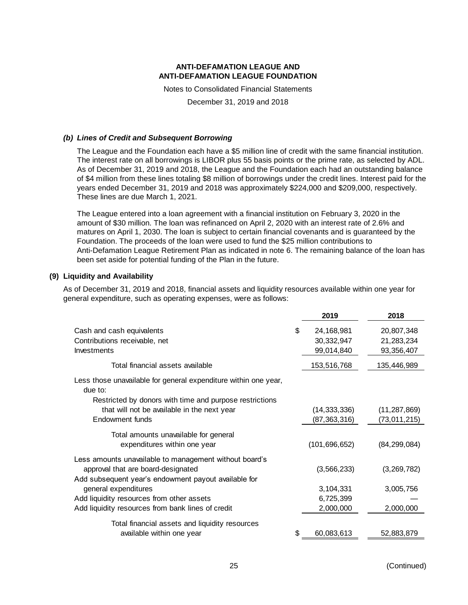Notes to Consolidated Financial Statements

December 31, 2019 and 2018

### *(b) Lines of Credit and Subsequent Borrowing*

The League and the Foundation each have a \$5 million line of credit with the same financial institution. The interest rate on all borrowings is LIBOR plus 55 basis points or the prime rate, as selected by ADL. As of December 31, 2019 and 2018, the League and the Foundation each had an outstanding balance of \$4 million from these lines totaling \$8 million of borrowings under the credit lines. Interest paid for the years ended December 31, 2019 and 2018 was approximately \$224,000 and \$209,000, respectively. These lines are due March 1, 2021.

The League entered into a loan agreement with a financial institution on February 3, 2020 in the amount of \$30 million. The loan was refinanced on April 2, 2020 with an interest rate of 2.6% and matures on April 1, 2030. The loan is subject to certain financial covenants and is guaranteed by the Foundation. The proceeds of the loan were used to fund the \$25 million contributions to Anti-Defamation League Retirement Plan as indicated in note 6. The remaining balance of the loan has been set aside for potential funding of the Plan in the future.

### **(9) Liquidity and Availability**

As of December 31, 2019 and 2018, financial assets and liquidity resources available within one year for general expenditure, such as operating expenses, were as follows:

|                                                                                                                                                      |    | 2019            | 2018           |
|------------------------------------------------------------------------------------------------------------------------------------------------------|----|-----------------|----------------|
| Cash and cash equivalents                                                                                                                            | \$ | 24,168,981      | 20,807,348     |
| Contributions receivable, net                                                                                                                        |    | 30,332,947      | 21,283,234     |
| Investments                                                                                                                                          |    | 99,014,840      | 93,356,407     |
| Total financial assets available                                                                                                                     |    | 153,516,768     | 135,446,989    |
| Less those unavailable for general expenditure within one year,<br>due to:<br>Restricted by donors with time and purpose restrictions                |    |                 |                |
| that will not be available in the next year                                                                                                          |    | (14, 333, 336)  | (11, 287, 869) |
| Endowment funds                                                                                                                                      |    | (87, 363, 316)  | (73, 011, 215) |
| Total amounts unavailable for general<br>expenditures within one year                                                                                |    | (101, 696, 652) | (84, 299, 084) |
| Less amounts unavailable to management without board's<br>approval that are board-designated<br>Add subsequent year's endowment payout available for |    | (3,566,233)     | (3,269,782)    |
| general expenditures                                                                                                                                 |    | 3,104,331       | 3,005,756      |
| Add liquidity resources from other assets                                                                                                            |    | 6,725,399       |                |
| Add liquidity resources from bank lines of credit                                                                                                    |    | 2,000,000       | 2,000,000      |
| Total financial assets and liquidity resources                                                                                                       |    |                 |                |
| available within one year                                                                                                                            | S  | 60,083,613      | 52,883,879     |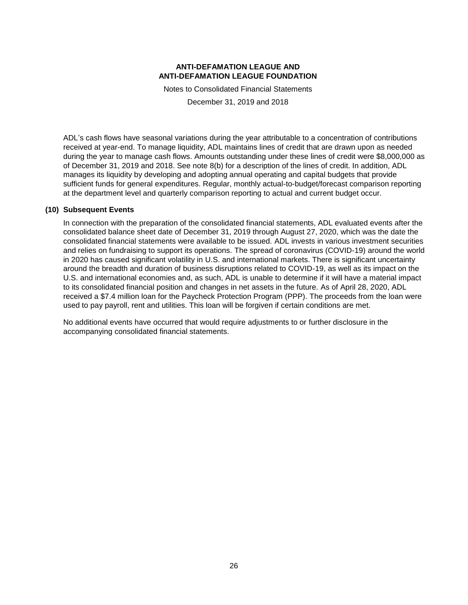Notes to Consolidated Financial Statements

December 31, 2019 and 2018

ADL's cash flows have seasonal variations during the year attributable to a concentration of contributions received at year-end. To manage liquidity, ADL maintains lines of credit that are drawn upon as needed during the year to manage cash flows. Amounts outstanding under these lines of credit were \$8,000,000 as of December 31, 2019 and 2018. See note 8(b) for a description of the lines of credit. In addition, ADL manages its liquidity by developing and adopting annual operating and capital budgets that provide sufficient funds for general expenditures. Regular, monthly actual-to-budget/forecast comparison reporting at the department level and quarterly comparison reporting to actual and current budget occur.

#### **(10) Subsequent Events**

In connection with the preparation of the consolidated financial statements, ADL evaluated events after the consolidated balance sheet date of December 31, 2019 through August 27, 2020, which was the date the consolidated financial statements were available to be issued. ADL invests in various investment securities and relies on fundraising to support its operations. The spread of coronavirus (COVID-19) around the world in 2020 has caused significant volatility in U.S. and international markets. There is significant uncertainty around the breadth and duration of business disruptions related to COVID-19, as well as its impact on the U.S. and international economies and, as such, ADL is unable to determine if it will have a material impact to its consolidated financial position and changes in net assets in the future. As of April 28, 2020, ADL received a \$7.4 million loan for the Paycheck Protection Program (PPP). The proceeds from the loan were used to pay payroll, rent and utilities. This loan will be forgiven if certain conditions are met.

No additional events have occurred that would require adjustments to or further disclosure in the accompanying consolidated financial statements.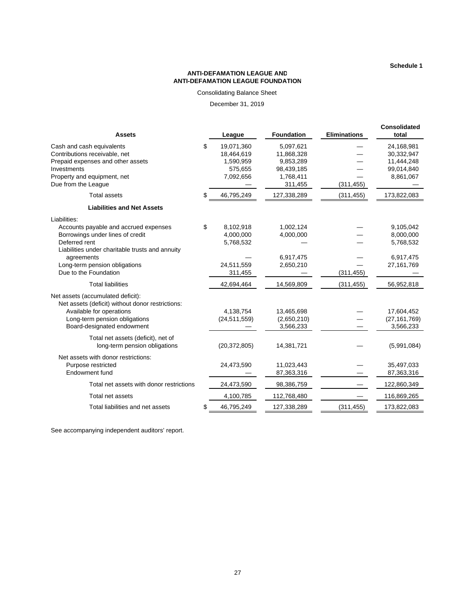**Schedule 1**

#### **ANTI-DEFAMATION LEAGUE AND ANTI-DEFAMATION LEAGUE FOUNDATION**

Consolidating Balance Sheet

December 31, 2019

| <b>Assets</b>                                                                                                                                                                                                                                                     | League                                                                           | <b>Foundation</b>                                                          | <b>Eliminations</b>      | <b>Consolidated</b><br>total                                                 |  |
|-------------------------------------------------------------------------------------------------------------------------------------------------------------------------------------------------------------------------------------------------------------------|----------------------------------------------------------------------------------|----------------------------------------------------------------------------|--------------------------|------------------------------------------------------------------------------|--|
| Cash and cash equivalents<br>Contributions receivable, net<br>Prepaid expenses and other assets<br>Investments<br>Property and equipment, net<br>Due from the League                                                                                              | \$<br>19,071,360<br>18,464,619<br>1,590,959<br>575,655<br>7,092,656              | 5,097,621<br>11,868,328<br>9,853,289<br>98,439,185<br>1,768,411<br>311,455 | (311, 455)               | 24,168,981<br>30,332,947<br>11,444,248<br>99,014,840<br>8,861,067            |  |
| <b>Total assets</b>                                                                                                                                                                                                                                               | \$<br>46,795,249                                                                 | 127,338,289                                                                | (311, 455)               | 173,822,083                                                                  |  |
| <b>Liabilities and Net Assets</b>                                                                                                                                                                                                                                 |                                                                                  |                                                                            |                          |                                                                              |  |
| Liabilities:<br>Accounts payable and accrued expenses<br>Borrowings under lines of credit<br>Deferred rent<br>Liabilities under charitable trusts and annuity<br>agreements<br>Long-term pension obligations<br>Due to the Foundation<br><b>Total liabilities</b> | \$<br>8,102,918<br>4,000,000<br>5,768,532<br>24,511,559<br>311,455<br>42,694,464 | 1,002,124<br>4,000,000<br>6,917,475<br>2,650,210<br>14,569,809             | (311, 455)<br>(311, 455) | 9,105,042<br>8,000,000<br>5,768,532<br>6,917,475<br>27,161,769<br>56,952,818 |  |
| Net assets (accumulated deficit):<br>Net assets (deficit) without donor restrictions:<br>Available for operations<br>Long-term pension obligations<br>Board-designated endowment                                                                                  | 4,138,754<br>(24, 511, 559)                                                      | 13,465,698<br>(2,650,210)<br>3,566,233                                     |                          | 17,604,452<br>(27, 161, 769)<br>3,566,233                                    |  |
| Total net assets (deficit), net of<br>long-term pension obligations                                                                                                                                                                                               | (20, 372, 805)                                                                   | 14,381,721                                                                 |                          | (5,991,084)                                                                  |  |
| Net assets with donor restrictions:<br>Purpose restricted<br>Endowment fund                                                                                                                                                                                       | 24,473,590                                                                       | 11,023,443<br>87,363,316                                                   |                          | 35,497,033<br>87,363,316                                                     |  |
| Total net assets with donor restrictions                                                                                                                                                                                                                          | 24,473,590                                                                       | 98,386,759                                                                 |                          | 122,860,349                                                                  |  |
| Total net assets                                                                                                                                                                                                                                                  | 4,100,785                                                                        | 112,768,480                                                                |                          | 116,869,265                                                                  |  |
| Total liabilities and net assets                                                                                                                                                                                                                                  | \$<br>46,795,249                                                                 | 127,338,289                                                                | (311, 455)               | 173,822,083                                                                  |  |

See accompanying independent auditors' report.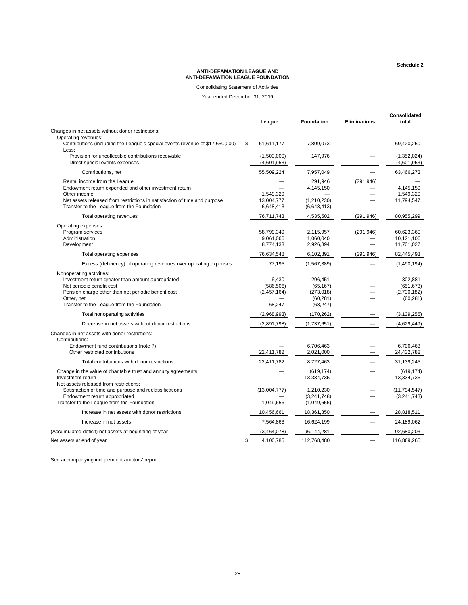**Schedule 2**

#### **ANTI-DEFAMATION LEAGUE AND ANTI-DEFAMATION LEAGUE FOUNDATION**

#### Consolidating Statement of Activities

Year ended December 31, 2019

|                                                                                                                                                                                                                                   | League                                       | <b>Foundation</b>                                            | <b>Eliminations</b> | <b>Consolidated</b><br>total                      |
|-----------------------------------------------------------------------------------------------------------------------------------------------------------------------------------------------------------------------------------|----------------------------------------------|--------------------------------------------------------------|---------------------|---------------------------------------------------|
| Changes in net assets without donor restrictions:                                                                                                                                                                                 |                                              |                                                              |                     |                                                   |
| Operating revenues:<br>Contributions (including the League's special events revenue of \$17,650,000)<br>Less:                                                                                                                     | \$<br>61,611,177                             | 7,809,073                                                    |                     | 69,420,250                                        |
| Provision for uncollectible contributions receivable<br>Direct special events expenses                                                                                                                                            | (1,500,000)<br>(4,601,953)                   | 147,976                                                      |                     | (1,352,024)<br>(4,601,953)                        |
| Contributions, net                                                                                                                                                                                                                | 55,509,224                                   | 7,957,049                                                    |                     | 63,466,273                                        |
| Rental income from the League<br>Endowment return expended and other investment return<br>Other income<br>Net assets released from restrictions in satisfaction of time and purpose<br>Transfer to the League from the Foundation | 1,549,329<br>13,004,777<br>6,648,413         | 291,946<br>4,145,150<br>(1, 210, 230)<br>(6,648,413)         | (291, 946)          | 4,145,150<br>1,549,329<br>11,794,547              |
| Total operating revenues                                                                                                                                                                                                          | 76,711,743                                   | 4.535.502                                                    | (291.946)           | 80.955.299                                        |
| Operating expenses:<br>Program services<br>Administration<br>Development                                                                                                                                                          | 58,799,349<br>9,061,066<br>8,774,133         | 2,115,957<br>1,060,040<br>2,926,894                          | (291, 946)          | 60.623.360<br>10,121,106<br>11,701,027            |
| Total operating expenses                                                                                                                                                                                                          | 76,634,548                                   | 6,102,891                                                    | (291, 946)          | 82,445,493                                        |
| Excess (deficiency) of operating revenues over operating expenses                                                                                                                                                                 | 77,195                                       | (1, 567, 389)                                                |                     | (1,490,194)                                       |
| Nonoperating activities:<br>Investment return greater than amount appropriated<br>Net periodic benefit cost<br>Pension charge other than net periodic benefit cost<br>Other, net<br>Transfer to the League from the Foundation    | 6,430<br>(586, 506)<br>(2,457,164)<br>68,247 | 296,451<br>(65, 167)<br>(273, 018)<br>(60, 281)<br>(68, 247) |                     | 302,881<br>(651, 673)<br>(2,730,182)<br>(60, 281) |
| Total nonoperating activities                                                                                                                                                                                                     | (2,968,993)                                  | (170, 262)                                                   |                     | (3, 139, 255)                                     |
| Decrease in net assets without donor restrictions                                                                                                                                                                                 | (2,891,798)                                  | (1,737,651)                                                  |                     | (4.629.449)                                       |
| Changes in net assets with donor restrictions:<br>Contributions:<br>Endowment fund contributions (note 7)                                                                                                                         |                                              | 6,706,463                                                    |                     | 6,706,463                                         |
| Other restricted contributions                                                                                                                                                                                                    | 22.411.782                                   | 2,021,000                                                    |                     | 24,432,782                                        |
| Total contributions with donor restrictions                                                                                                                                                                                       | 22,411,782                                   | 8,727,463                                                    |                     | 31,139,245                                        |
| Change in the value of charitable trust and annuity agreements<br>Investment return<br>Net assets released from restrictions:                                                                                                     |                                              | (619, 174)<br>13,334,735                                     |                     | (619, 174)<br>13,334,735                          |
| Satisfaction of time and purpose and reclassifications<br>Endowment return appropriated<br>Transfer to the League from the Foundation                                                                                             | (13,004,777)<br>1,049,656                    | 1,210,230<br>(3,241,748)<br>(1,049,656)                      |                     | (11, 794, 547)<br>(3,241,748)                     |
| Increase in net assets with donor restrictions                                                                                                                                                                                    | 10,456,661                                   | 18,361,850                                                   |                     | 28,818,511                                        |
| Increase in net assets                                                                                                                                                                                                            | 7,564,863                                    | 16,624,199                                                   |                     | 24,189,062                                        |
| (Accumulated deficit) net assets at beginning of year                                                                                                                                                                             | (3,464,078)                                  | 96,144,281                                                   |                     | 92,680,203                                        |
| Net assets at end of year                                                                                                                                                                                                         | \$<br>4,100,785                              | 112,768,480                                                  |                     | 116,869,265                                       |

See accompanying independent auditors' report.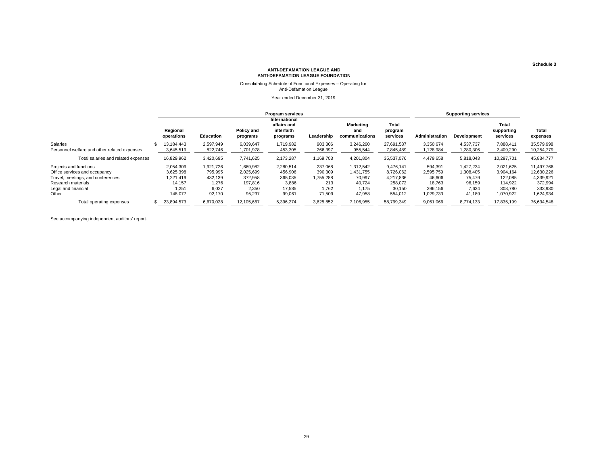Consolidating Schedule of Functional Expenses – Operating for Anti-Defamation League

Year ended December 31, 2019

|                                                                                                                                                    | <b>Program services</b> |                                                                   |                                                             |                                                                 |                                                              |                                                           | <b>Supporting services</b>                                 |                                                                     |                                                                  |                                                               |                                                                      |                                                                          |
|----------------------------------------------------------------------------------------------------------------------------------------------------|-------------------------|-------------------------------------------------------------------|-------------------------------------------------------------|-----------------------------------------------------------------|--------------------------------------------------------------|-----------------------------------------------------------|------------------------------------------------------------|---------------------------------------------------------------------|------------------------------------------------------------------|---------------------------------------------------------------|----------------------------------------------------------------------|--------------------------------------------------------------------------|
|                                                                                                                                                    |                         | Regional<br>operations                                            | Education                                                   | Policy and<br>programs                                          | International<br>affairs and<br>interfaith<br>programs       | Leadership                                                | Marketing<br>and<br>communications                         | Total<br>program<br>services                                        | Administration                                                   | Development                                                   | <b>Total</b><br>supporting<br>services                               | Total<br>expenses                                                        |
| <b>Salaries</b><br>Personnel welfare and other related expenses                                                                                    |                         | 13.184.443<br>3,645,519                                           | 2.597.949<br>822,746                                        | 6.039.647<br>1,701,978                                          | 1,719,982<br>453,305                                         | 903.306<br>266,397                                        | 3,246,260<br>955,544                                       | 27.691.587<br>7,845,489                                             | 3.350.674<br>1,128,984                                           | 4.537.737<br>1,280,306                                        | 7.888.411<br>2,409,290                                               | 35.579.998<br>10,254,779                                                 |
| Total salaries and related expenses                                                                                                                |                         | 16,829,962                                                        | 3,420,695                                                   | 7,741,625                                                       | 2,173,287                                                    | 1,169,703                                                 | 4,201,804                                                  | 35,537,076                                                          | 4,479,658                                                        | 5,818,043                                                     | 10,297,701                                                           | 45,834,777                                                               |
| Projects and functions<br>Office services and occupancy<br>Travel, meetings, and conferences<br>Research materials<br>Legal and financial<br>Other |                         | 2.054.309<br>3,625,398<br>1.221.419<br>14.157<br>1.251<br>148,077 | 1.921.726<br>795,995<br>432,139<br>1.276<br>6,027<br>92,170 | 1,669,982<br>2,025,699<br>372,958<br>197,816<br>2,350<br>95,237 | 2.280.514<br>456,906<br>365,035<br>3,886<br>17,585<br>99,061 | 237.068<br>390,309<br>1,755,288<br>213<br>1,762<br>71,509 | 312,542<br>,431,755<br>70,997<br>40,724<br>1.175<br>47,958 | 9.476.141<br>8,726,062<br>4,217,836<br>258,072<br>30,150<br>554,012 | 594.391<br>2,595,759<br>46,606<br>18.763<br>296.156<br>1,029,733 | 1.427.234<br>1,308,405<br>75,479<br>96,159<br>7.624<br>41,189 | 2.021.625<br>3,904,164<br>122,085<br>114.922<br>303,780<br>1,070,922 | 11,497,766<br>12,630,226<br>4,339,921<br>372,994<br>333,930<br>1,624,934 |
| Total operating expenses                                                                                                                           |                         | 23.894.573                                                        | 6.670.028                                                   | 12,105,667                                                      | 5.396.274                                                    | 3.625.852                                                 | 7,106,955                                                  | 58,799,349                                                          | 9.061.066                                                        | 8.774.133                                                     | 17,835,199                                                           | 76.634.548                                                               |

See accompanying independent auditors' report.

**Schedule 3**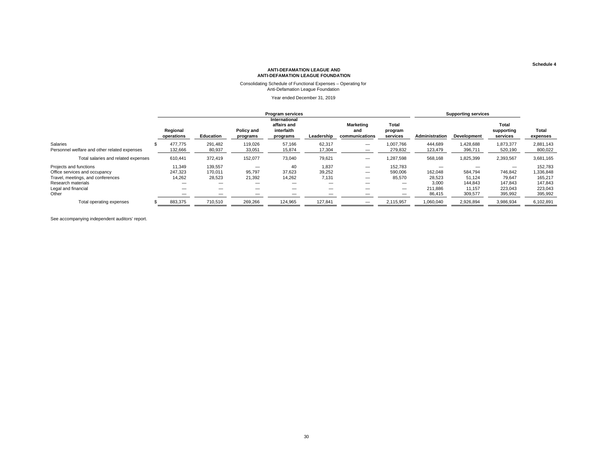Consolidating Schedule of Functional Expenses – Operating for Anti-Defamation League Foundation

Year ended December 31, 2019

|                                              | <b>Program services</b> |                        |                  |                        |                                                        |            | <b>Supporting services</b>         |                              |                |             |                                        |                   |
|----------------------------------------------|-------------------------|------------------------|------------------|------------------------|--------------------------------------------------------|------------|------------------------------------|------------------------------|----------------|-------------|----------------------------------------|-------------------|
|                                              |                         | Regional<br>operations | <b>Education</b> | Policy and<br>programs | International<br>affairs and<br>interfaith<br>programs | Leadership | Marketing<br>and<br>communications | Total<br>program<br>services | Administration | Development | <b>Total</b><br>supporting<br>services | Total<br>expenses |
| Salaries                                     |                         | 477.775                | 291.482          | 119.026                | 57.166                                                 | 62,317     | $\overline{\phantom{m}}$           | 1.007.766                    | 444.689        | 1,428,688   | 1,873,377                              | 2.881.143         |
| Personnel welfare and other related expenses |                         | 132,666                | 80,937           | 33,051                 | 15,874                                                 | 17,304     |                                    | 279,832                      | 123,479        | 396,711     | 520,190                                | 800,022           |
| Total salaries and related expenses          |                         | 610,441                | 372,419          | 152,077                | 73,040                                                 | 79,621     |                                    | 1,287,598                    | 568,168        | 1,825,399   | 2,393,567                              | 3,681,165         |
| Projects and functions                       |                         | 11,349                 | 139,557          |                        | 40                                                     | 1,837      | –                                  | 152,783                      |                |             | –                                      | 152,783           |
| Office services and occupancy                |                         | 247,323                | 170,011          | 95,797                 | 37,623                                                 | 39,252     |                                    | 590,006                      | 162,048        | 584,794     | 746,842                                | 1,336,848         |
| Travel, meetings, and conferences            |                         | 14,262                 | 28,523           | 21,392                 | 14,262                                                 | 7.131      | —                                  | 85,570                       | 28,523         | 51.124      | 79,647                                 | 165,217           |
| Research materials                           |                         |                        |                  | $\sim$                 | —                                                      |            | —                                  | $\overline{\phantom{m}}$     | 3.000          | 144,843     | 147.843                                | 147,843           |
| Legal and financial                          |                         |                        |                  |                        |                                                        |            |                                    | $\hspace{0.05cm}$            | 211.886        | 11.157      | 223,043                                | 223,043           |
| Other                                        |                         |                        |                  |                        |                                                        |            |                                    |                              | 86,415         | 309,577     | 395,992                                | 395,992           |
| Total operating expenses                     |                         | 883,375                | 710,510          | 269,266                | 124,965                                                | 127,841    |                                    | 2,115,957                    | 1,060,040      | 2,926,894   | 3,986,934                              | 6,102,891         |

See accompanying independent auditors' report.

**Schedule 4**